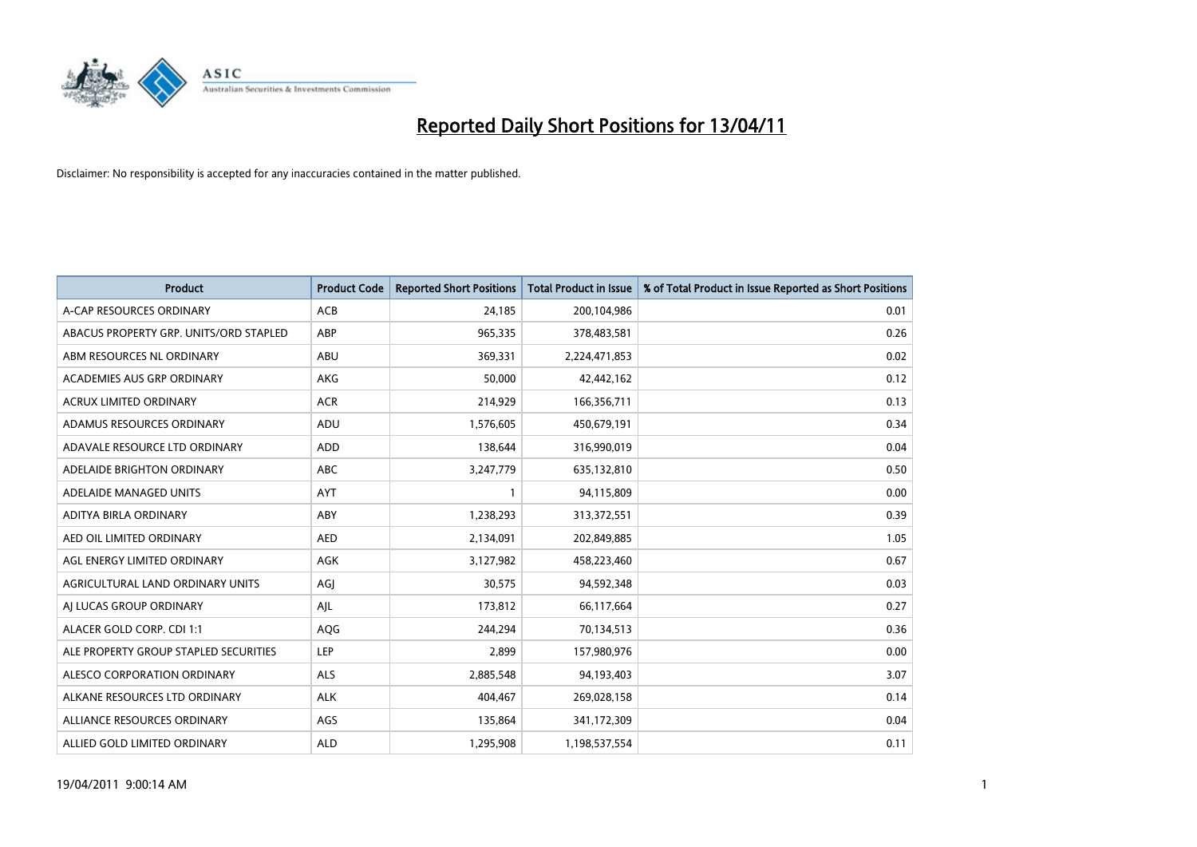

| <b>Product</b>                         | <b>Product Code</b> | <b>Reported Short Positions</b> | <b>Total Product in Issue</b> | % of Total Product in Issue Reported as Short Positions |
|----------------------------------------|---------------------|---------------------------------|-------------------------------|---------------------------------------------------------|
| A-CAP RESOURCES ORDINARY               | <b>ACB</b>          | 24,185                          | 200,104,986                   | 0.01                                                    |
| ABACUS PROPERTY GRP. UNITS/ORD STAPLED | ABP                 | 965,335                         | 378,483,581                   | 0.26                                                    |
| ABM RESOURCES NL ORDINARY              | ABU                 | 369,331                         | 2,224,471,853                 | 0.02                                                    |
| ACADEMIES AUS GRP ORDINARY             | AKG                 | 50,000                          | 42,442,162                    | 0.12                                                    |
| <b>ACRUX LIMITED ORDINARY</b>          | <b>ACR</b>          | 214,929                         | 166,356,711                   | 0.13                                                    |
| ADAMUS RESOURCES ORDINARY              | ADU                 | 1,576,605                       | 450,679,191                   | 0.34                                                    |
| ADAVALE RESOURCE LTD ORDINARY          | <b>ADD</b>          | 138,644                         | 316,990,019                   | 0.04                                                    |
| ADELAIDE BRIGHTON ORDINARY             | <b>ABC</b>          | 3,247,779                       | 635,132,810                   | 0.50                                                    |
| ADELAIDE MANAGED UNITS                 | <b>AYT</b>          | 1                               | 94,115,809                    | 0.00                                                    |
| ADITYA BIRLA ORDINARY                  | ABY                 | 1,238,293                       | 313,372,551                   | 0.39                                                    |
| AED OIL LIMITED ORDINARY               | <b>AED</b>          | 2,134,091                       | 202,849,885                   | 1.05                                                    |
| AGL ENERGY LIMITED ORDINARY            | AGK                 | 3,127,982                       | 458,223,460                   | 0.67                                                    |
| AGRICULTURAL LAND ORDINARY UNITS       | AGJ                 | 30,575                          | 94,592,348                    | 0.03                                                    |
| AI LUCAS GROUP ORDINARY                | AJL                 | 173,812                         | 66,117,664                    | 0.27                                                    |
| ALACER GOLD CORP. CDI 1:1              | AQG                 | 244,294                         | 70,134,513                    | 0.36                                                    |
| ALE PROPERTY GROUP STAPLED SECURITIES  | LEP                 | 2,899                           | 157,980,976                   | 0.00                                                    |
| ALESCO CORPORATION ORDINARY            | <b>ALS</b>          | 2,885,548                       | 94,193,403                    | 3.07                                                    |
| ALKANE RESOURCES LTD ORDINARY          | <b>ALK</b>          | 404,467                         | 269,028,158                   | 0.14                                                    |
| ALLIANCE RESOURCES ORDINARY            | AGS                 | 135,864                         | 341,172,309                   | 0.04                                                    |
| ALLIED GOLD LIMITED ORDINARY           | <b>ALD</b>          | 1,295,908                       | 1,198,537,554                 | 0.11                                                    |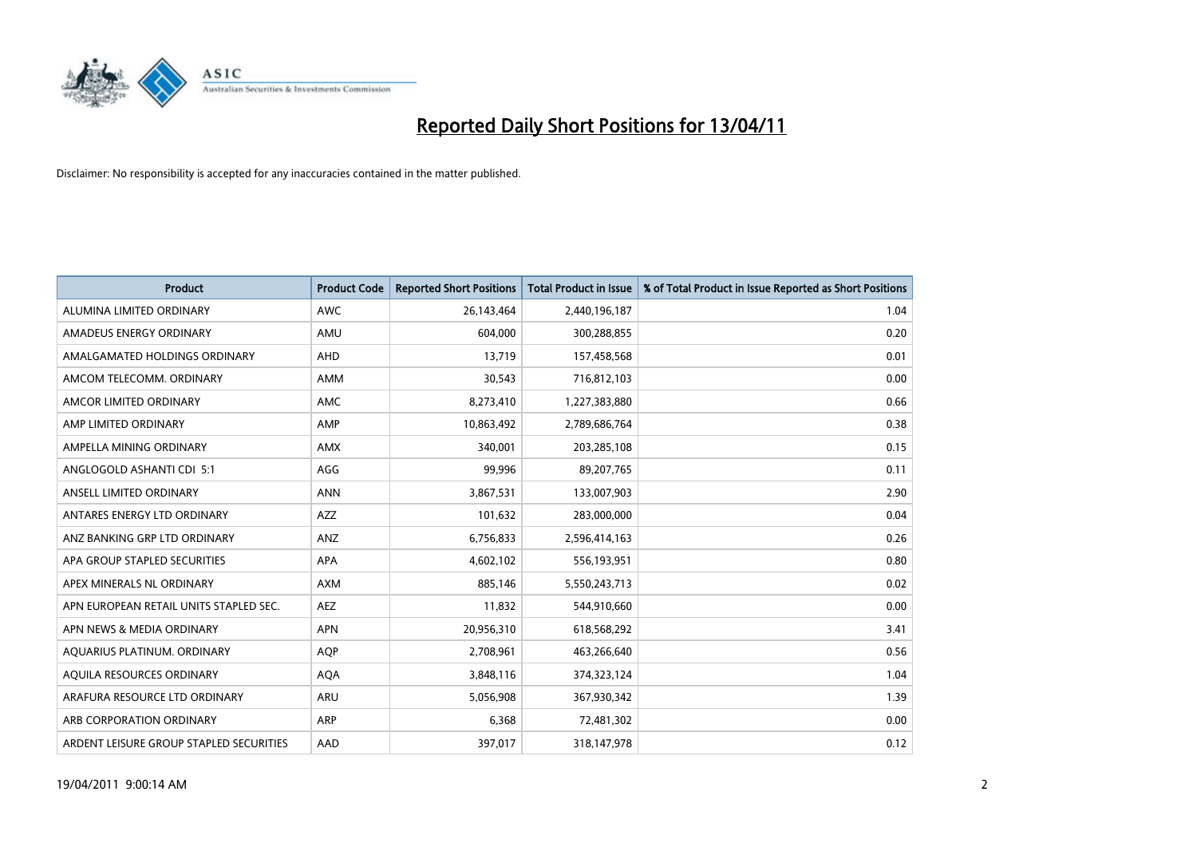

| <b>Product</b>                          | <b>Product Code</b> | <b>Reported Short Positions</b> | <b>Total Product in Issue</b> | % of Total Product in Issue Reported as Short Positions |
|-----------------------------------------|---------------------|---------------------------------|-------------------------------|---------------------------------------------------------|
| ALUMINA LIMITED ORDINARY                | <b>AWC</b>          | 26,143,464                      | 2,440,196,187                 | 1.04                                                    |
| AMADEUS ENERGY ORDINARY                 | AMU                 | 604,000                         | 300,288,855                   | 0.20                                                    |
| AMALGAMATED HOLDINGS ORDINARY           | AHD                 | 13,719                          | 157,458,568                   | 0.01                                                    |
| AMCOM TELECOMM, ORDINARY                | <b>AMM</b>          | 30,543                          | 716,812,103                   | 0.00                                                    |
| AMCOR LIMITED ORDINARY                  | <b>AMC</b>          | 8,273,410                       | 1,227,383,880                 | 0.66                                                    |
| AMP LIMITED ORDINARY                    | AMP                 | 10,863,492                      | 2,789,686,764                 | 0.38                                                    |
| AMPELLA MINING ORDINARY                 | <b>AMX</b>          | 340,001                         | 203,285,108                   | 0.15                                                    |
| ANGLOGOLD ASHANTI CDI 5:1               | AGG                 | 99,996                          | 89,207,765                    | 0.11                                                    |
| ANSELL LIMITED ORDINARY                 | <b>ANN</b>          | 3,867,531                       | 133,007,903                   | 2.90                                                    |
| ANTARES ENERGY LTD ORDINARY             | <b>AZZ</b>          | 101,632                         | 283,000,000                   | 0.04                                                    |
| ANZ BANKING GRP LTD ORDINARY            | ANZ                 | 6,756,833                       | 2,596,414,163                 | 0.26                                                    |
| APA GROUP STAPLED SECURITIES            | <b>APA</b>          | 4,602,102                       | 556,193,951                   | 0.80                                                    |
| APEX MINERALS NL ORDINARY               | <b>AXM</b>          | 885,146                         | 5,550,243,713                 | 0.02                                                    |
| APN EUROPEAN RETAIL UNITS STAPLED SEC.  | <b>AEZ</b>          | 11,832                          | 544,910,660                   | 0.00                                                    |
| APN NEWS & MEDIA ORDINARY               | <b>APN</b>          | 20,956,310                      | 618,568,292                   | 3.41                                                    |
| AQUARIUS PLATINUM. ORDINARY             | <b>AOP</b>          | 2,708,961                       | 463,266,640                   | 0.56                                                    |
| AQUILA RESOURCES ORDINARY               | <b>AQA</b>          | 3,848,116                       | 374,323,124                   | 1.04                                                    |
| ARAFURA RESOURCE LTD ORDINARY           | <b>ARU</b>          | 5,056,908                       | 367,930,342                   | 1.39                                                    |
| ARB CORPORATION ORDINARY                | <b>ARP</b>          | 6,368                           | 72,481,302                    | 0.00                                                    |
| ARDENT LEISURE GROUP STAPLED SECURITIES | AAD                 | 397,017                         | 318,147,978                   | 0.12                                                    |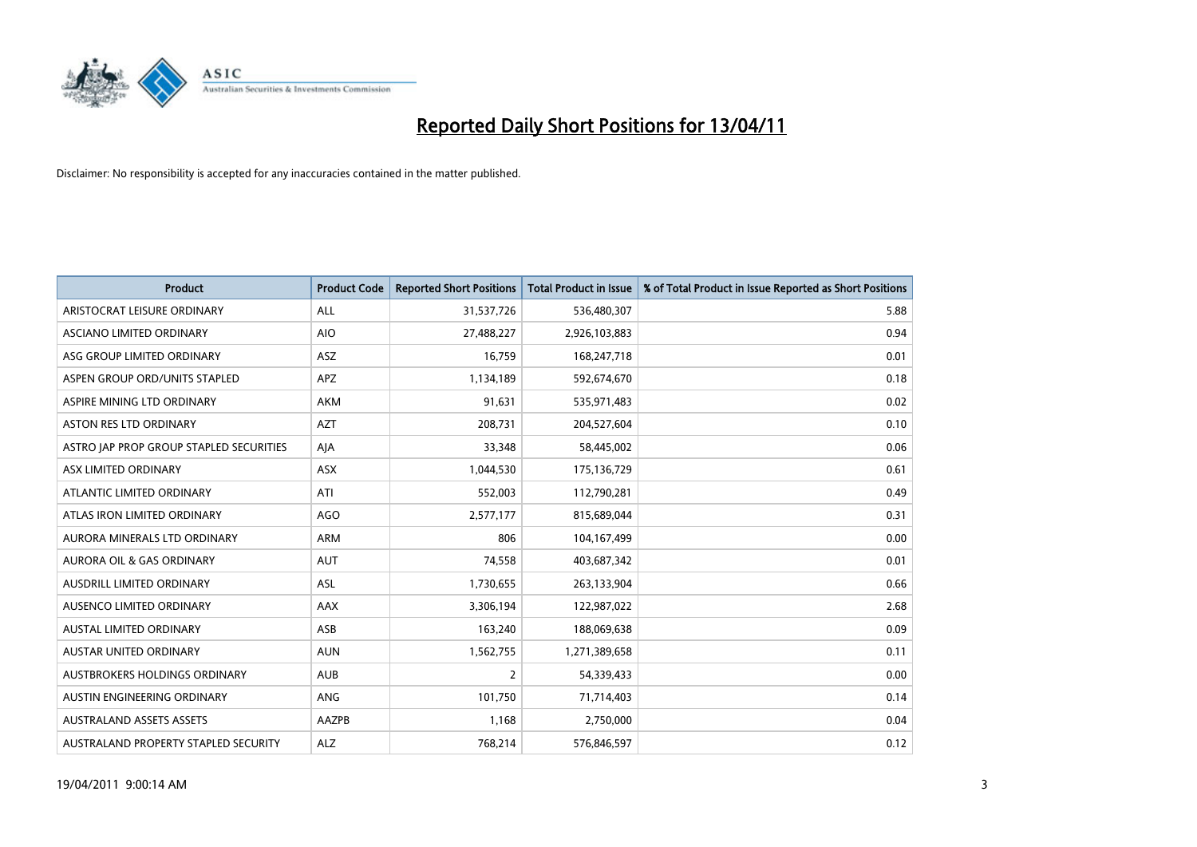

| <b>Product</b>                          | <b>Product Code</b> | <b>Reported Short Positions</b> | <b>Total Product in Issue</b> | % of Total Product in Issue Reported as Short Positions |
|-----------------------------------------|---------------------|---------------------------------|-------------------------------|---------------------------------------------------------|
| ARISTOCRAT LEISURE ORDINARY             | <b>ALL</b>          | 31,537,726                      | 536,480,307                   | 5.88                                                    |
| ASCIANO LIMITED ORDINARY                | <b>AIO</b>          | 27,488,227                      | 2,926,103,883                 | 0.94                                                    |
| ASG GROUP LIMITED ORDINARY              | <b>ASZ</b>          | 16,759                          | 168,247,718                   | 0.01                                                    |
| ASPEN GROUP ORD/UNITS STAPLED           | APZ                 | 1,134,189                       | 592,674,670                   | 0.18                                                    |
| ASPIRE MINING LTD ORDINARY              | <b>AKM</b>          | 91,631                          | 535,971,483                   | 0.02                                                    |
| ASTON RES LTD ORDINARY                  | <b>AZT</b>          | 208,731                         | 204,527,604                   | 0.10                                                    |
| ASTRO JAP PROP GROUP STAPLED SECURITIES | AJA                 | 33,348                          | 58,445,002                    | 0.06                                                    |
| ASX LIMITED ORDINARY                    | <b>ASX</b>          | 1,044,530                       | 175,136,729                   | 0.61                                                    |
| ATLANTIC LIMITED ORDINARY               | ATI                 | 552,003                         | 112,790,281                   | 0.49                                                    |
| ATLAS IRON LIMITED ORDINARY             | <b>AGO</b>          | 2,577,177                       | 815,689,044                   | 0.31                                                    |
| AURORA MINERALS LTD ORDINARY            | <b>ARM</b>          | 806                             | 104,167,499                   | 0.00                                                    |
| <b>AURORA OIL &amp; GAS ORDINARY</b>    | <b>AUT</b>          | 74,558                          | 403,687,342                   | 0.01                                                    |
| AUSDRILL LIMITED ORDINARY               | ASL                 | 1,730,655                       | 263,133,904                   | 0.66                                                    |
| <b>AUSENCO LIMITED ORDINARY</b>         | AAX                 | 3,306,194                       | 122,987,022                   | 2.68                                                    |
| AUSTAL LIMITED ORDINARY                 | ASB                 | 163,240                         | 188,069,638                   | 0.09                                                    |
| AUSTAR UNITED ORDINARY                  | <b>AUN</b>          | 1,562,755                       | 1,271,389,658                 | 0.11                                                    |
| <b>AUSTBROKERS HOLDINGS ORDINARY</b>    | <b>AUB</b>          | $\overline{2}$                  | 54,339,433                    | 0.00                                                    |
| AUSTIN ENGINEERING ORDINARY             | ANG                 | 101,750                         | 71,714,403                    | 0.14                                                    |
| <b>AUSTRALAND ASSETS ASSETS</b>         | <b>AAZPB</b>        | 1,168                           | 2,750,000                     | 0.04                                                    |
| AUSTRALAND PROPERTY STAPLED SECURITY    | <b>ALZ</b>          | 768,214                         | 576,846,597                   | 0.12                                                    |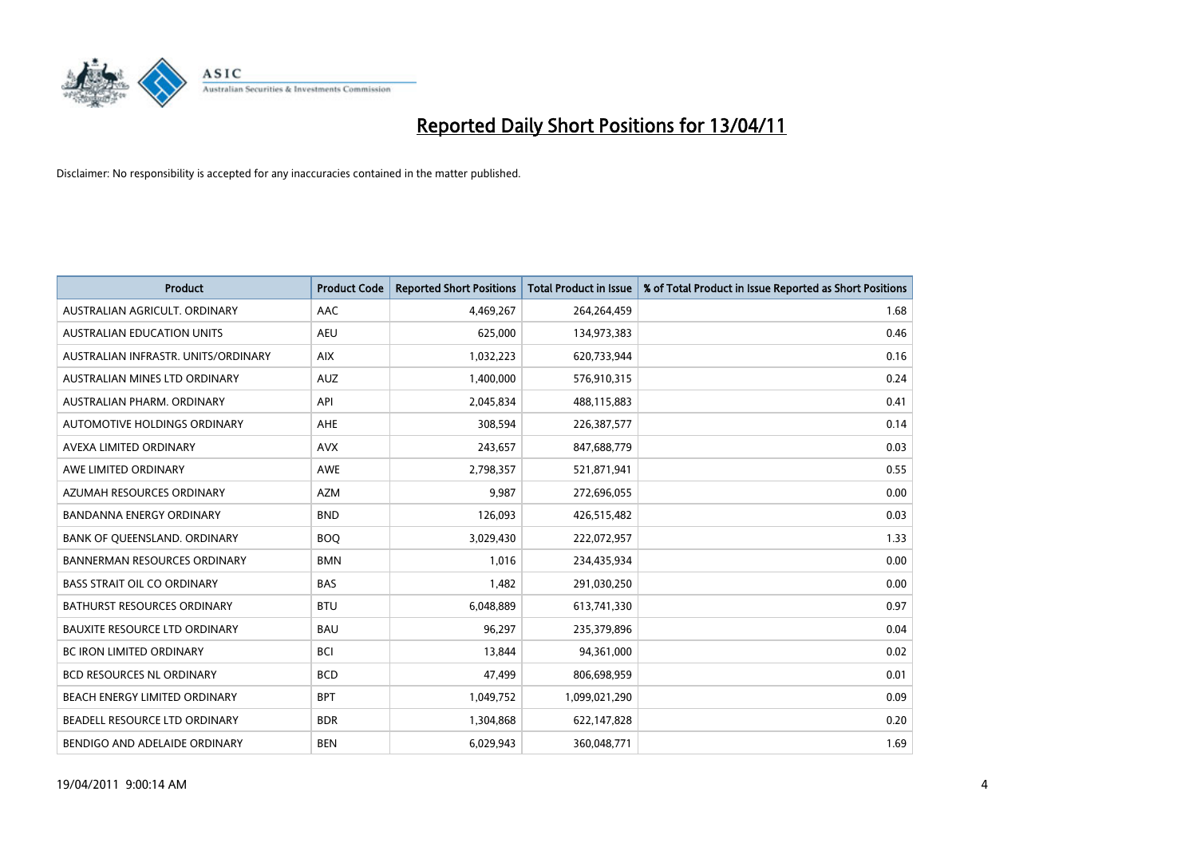

| <b>Product</b>                       | <b>Product Code</b> | <b>Reported Short Positions</b> | <b>Total Product in Issue</b> | % of Total Product in Issue Reported as Short Positions |
|--------------------------------------|---------------------|---------------------------------|-------------------------------|---------------------------------------------------------|
| AUSTRALIAN AGRICULT, ORDINARY        | <b>AAC</b>          | 4,469,267                       | 264,264,459                   | 1.68                                                    |
| AUSTRALIAN EDUCATION UNITS           | <b>AEU</b>          | 625,000                         | 134,973,383                   | 0.46                                                    |
| AUSTRALIAN INFRASTR, UNITS/ORDINARY  | <b>AIX</b>          | 1,032,223                       | 620,733,944                   | 0.16                                                    |
| AUSTRALIAN MINES LTD ORDINARY        | <b>AUZ</b>          | 1,400,000                       | 576,910,315                   | 0.24                                                    |
| AUSTRALIAN PHARM, ORDINARY           | API                 | 2,045,834                       | 488,115,883                   | 0.41                                                    |
| AUTOMOTIVE HOLDINGS ORDINARY         | <b>AHE</b>          | 308,594                         | 226,387,577                   | 0.14                                                    |
| AVEXA LIMITED ORDINARY               | <b>AVX</b>          | 243,657                         | 847,688,779                   | 0.03                                                    |
| AWE LIMITED ORDINARY                 | <b>AWE</b>          | 2,798,357                       | 521,871,941                   | 0.55                                                    |
| AZUMAH RESOURCES ORDINARY            | <b>AZM</b>          | 9,987                           | 272,696,055                   | 0.00                                                    |
| <b>BANDANNA ENERGY ORDINARY</b>      | <b>BND</b>          | 126,093                         | 426,515,482                   | 0.03                                                    |
| BANK OF QUEENSLAND. ORDINARY         | <b>BOO</b>          | 3,029,430                       | 222,072,957                   | 1.33                                                    |
| <b>BANNERMAN RESOURCES ORDINARY</b>  | <b>BMN</b>          | 1,016                           | 234,435,934                   | 0.00                                                    |
| <b>BASS STRAIT OIL CO ORDINARY</b>   | <b>BAS</b>          | 1,482                           | 291,030,250                   | 0.00                                                    |
| <b>BATHURST RESOURCES ORDINARY</b>   | <b>BTU</b>          | 6,048,889                       | 613,741,330                   | 0.97                                                    |
| <b>BAUXITE RESOURCE LTD ORDINARY</b> | <b>BAU</b>          | 96,297                          | 235,379,896                   | 0.04                                                    |
| BC IRON LIMITED ORDINARY             | <b>BCI</b>          | 13,844                          | 94,361,000                    | 0.02                                                    |
| <b>BCD RESOURCES NL ORDINARY</b>     | <b>BCD</b>          | 47,499                          | 806,698,959                   | 0.01                                                    |
| BEACH ENERGY LIMITED ORDINARY        | <b>BPT</b>          | 1,049,752                       | 1,099,021,290                 | 0.09                                                    |
| BEADELL RESOURCE LTD ORDINARY        | <b>BDR</b>          | 1,304,868                       | 622,147,828                   | 0.20                                                    |
| BENDIGO AND ADELAIDE ORDINARY        | <b>BEN</b>          | 6,029,943                       | 360,048,771                   | 1.69                                                    |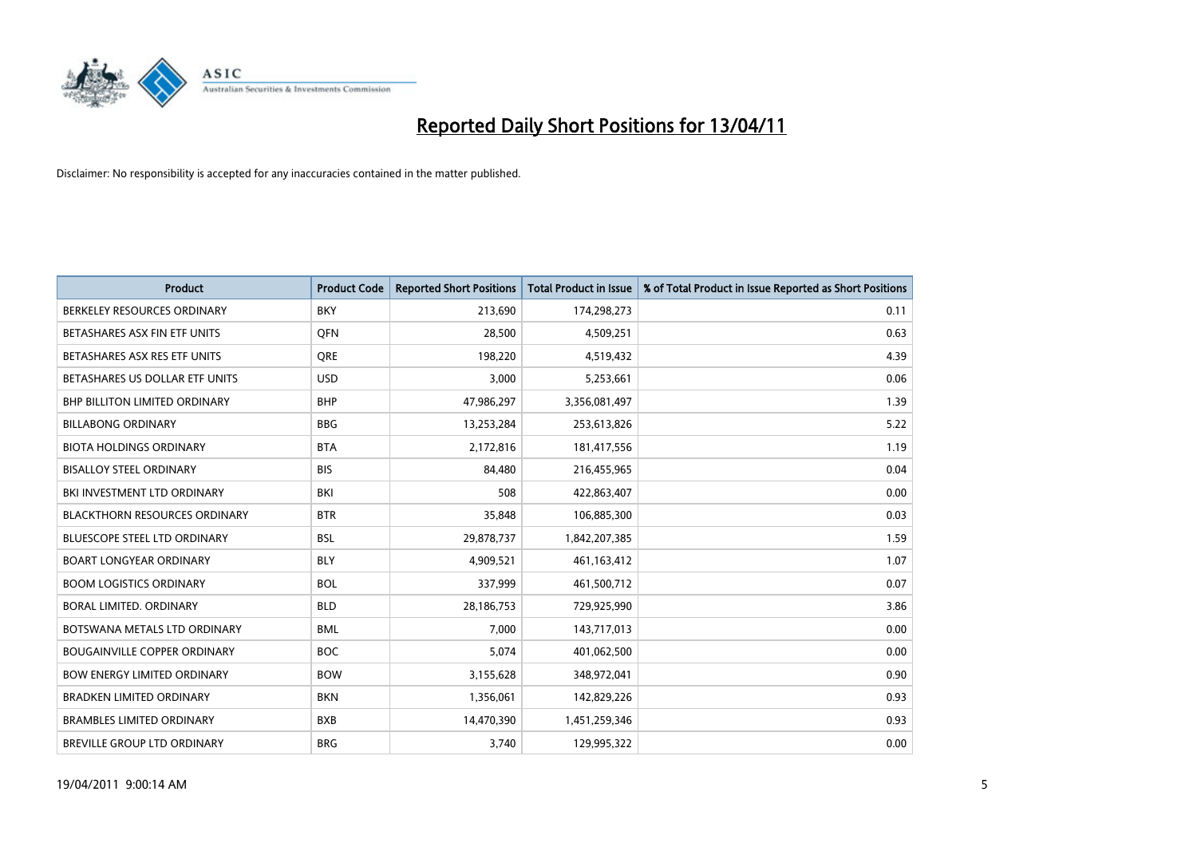

| Product                              | <b>Product Code</b> | <b>Reported Short Positions</b> | <b>Total Product in Issue</b> | % of Total Product in Issue Reported as Short Positions |
|--------------------------------------|---------------------|---------------------------------|-------------------------------|---------------------------------------------------------|
| BERKELEY RESOURCES ORDINARY          | <b>BKY</b>          | 213,690                         | 174,298,273                   | 0.11                                                    |
| BETASHARES ASX FIN ETF UNITS         | <b>OFN</b>          | 28,500                          | 4,509,251                     | 0.63                                                    |
| BETASHARES ASX RES ETF UNITS         | <b>ORE</b>          | 198,220                         | 4,519,432                     | 4.39                                                    |
| BETASHARES US DOLLAR ETF UNITS       | <b>USD</b>          | 3,000                           | 5,253,661                     | 0.06                                                    |
| <b>BHP BILLITON LIMITED ORDINARY</b> | <b>BHP</b>          | 47,986,297                      | 3,356,081,497                 | 1.39                                                    |
| <b>BILLABONG ORDINARY</b>            | <b>BBG</b>          | 13,253,284                      | 253,613,826                   | 5.22                                                    |
| <b>BIOTA HOLDINGS ORDINARY</b>       | <b>BTA</b>          | 2,172,816                       | 181,417,556                   | 1.19                                                    |
| <b>BISALLOY STEEL ORDINARY</b>       | <b>BIS</b>          | 84,480                          | 216,455,965                   | 0.04                                                    |
| BKI INVESTMENT LTD ORDINARY          | <b>BKI</b>          | 508                             | 422,863,407                   | 0.00                                                    |
| <b>BLACKTHORN RESOURCES ORDINARY</b> | <b>BTR</b>          | 35,848                          | 106,885,300                   | 0.03                                                    |
| BLUESCOPE STEEL LTD ORDINARY         | <b>BSL</b>          | 29,878,737                      | 1,842,207,385                 | 1.59                                                    |
| <b>BOART LONGYEAR ORDINARY</b>       | <b>BLY</b>          | 4,909,521                       | 461,163,412                   | 1.07                                                    |
| <b>BOOM LOGISTICS ORDINARY</b>       | <b>BOL</b>          | 337,999                         | 461,500,712                   | 0.07                                                    |
| BORAL LIMITED, ORDINARY              | <b>BLD</b>          | 28,186,753                      | 729,925,990                   | 3.86                                                    |
| BOTSWANA METALS LTD ORDINARY         | <b>BML</b>          | 7,000                           | 143,717,013                   | 0.00                                                    |
| <b>BOUGAINVILLE COPPER ORDINARY</b>  | <b>BOC</b>          | 5,074                           | 401,062,500                   | 0.00                                                    |
| <b>BOW ENERGY LIMITED ORDINARY</b>   | <b>BOW</b>          | 3,155,628                       | 348,972,041                   | 0.90                                                    |
| BRADKEN LIMITED ORDINARY             | <b>BKN</b>          | 1,356,061                       | 142,829,226                   | 0.93                                                    |
| <b>BRAMBLES LIMITED ORDINARY</b>     | <b>BXB</b>          | 14,470,390                      | 1,451,259,346                 | 0.93                                                    |
| BREVILLE GROUP LTD ORDINARY          | <b>BRG</b>          | 3,740                           | 129,995,322                   | 0.00                                                    |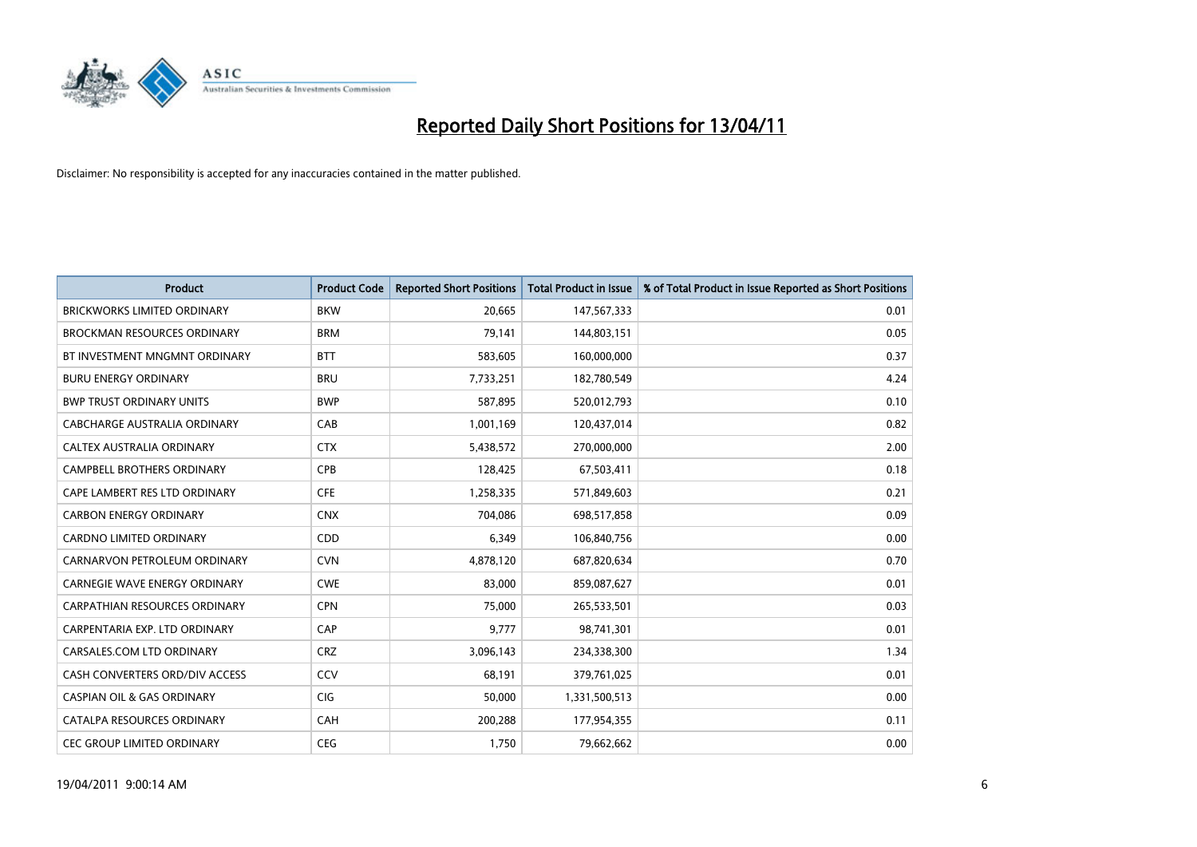

| <b>Product</b>                        | <b>Product Code</b> | <b>Reported Short Positions</b> | <b>Total Product in Issue</b> | % of Total Product in Issue Reported as Short Positions |
|---------------------------------------|---------------------|---------------------------------|-------------------------------|---------------------------------------------------------|
| <b>BRICKWORKS LIMITED ORDINARY</b>    | <b>BKW</b>          | 20,665                          | 147,567,333                   | 0.01                                                    |
| <b>BROCKMAN RESOURCES ORDINARY</b>    | <b>BRM</b>          | 79,141                          | 144,803,151                   | 0.05                                                    |
| BT INVESTMENT MNGMNT ORDINARY         | <b>BTT</b>          | 583,605                         | 160,000,000                   | 0.37                                                    |
| <b>BURU ENERGY ORDINARY</b>           | <b>BRU</b>          | 7,733,251                       | 182,780,549                   | 4.24                                                    |
| <b>BWP TRUST ORDINARY UNITS</b>       | <b>BWP</b>          | 587,895                         | 520,012,793                   | 0.10                                                    |
| CABCHARGE AUSTRALIA ORDINARY          | CAB                 | 1,001,169                       | 120,437,014                   | 0.82                                                    |
| <b>CALTEX AUSTRALIA ORDINARY</b>      | <b>CTX</b>          | 5,438,572                       | 270,000,000                   | 2.00                                                    |
| <b>CAMPBELL BROTHERS ORDINARY</b>     | CPB                 | 128,425                         | 67,503,411                    | 0.18                                                    |
| CAPE LAMBERT RES LTD ORDINARY         | <b>CFE</b>          | 1,258,335                       | 571,849,603                   | 0.21                                                    |
| <b>CARBON ENERGY ORDINARY</b>         | <b>CNX</b>          | 704,086                         | 698,517,858                   | 0.09                                                    |
| <b>CARDNO LIMITED ORDINARY</b>        | CDD                 | 6,349                           | 106,840,756                   | 0.00                                                    |
| CARNARVON PETROLEUM ORDINARY          | <b>CVN</b>          | 4,878,120                       | 687,820,634                   | 0.70                                                    |
| <b>CARNEGIE WAVE ENERGY ORDINARY</b>  | <b>CWE</b>          | 83,000                          | 859,087,627                   | 0.01                                                    |
| <b>CARPATHIAN RESOURCES ORDINARY</b>  | <b>CPN</b>          | 75,000                          | 265,533,501                   | 0.03                                                    |
| CARPENTARIA EXP. LTD ORDINARY         | CAP                 | 9,777                           | 98,741,301                    | 0.01                                                    |
| CARSALES.COM LTD ORDINARY             | <b>CRZ</b>          | 3,096,143                       | 234,338,300                   | 1.34                                                    |
| CASH CONVERTERS ORD/DIV ACCESS        | CCV                 | 68,191                          | 379,761,025                   | 0.01                                                    |
| <b>CASPIAN OIL &amp; GAS ORDINARY</b> | <b>CIG</b>          | 50,000                          | 1,331,500,513                 | 0.00                                                    |
| CATALPA RESOURCES ORDINARY            | CAH                 | 200,288                         | 177,954,355                   | 0.11                                                    |
| <b>CEC GROUP LIMITED ORDINARY</b>     | <b>CEG</b>          | 1,750                           | 79,662,662                    | 0.00                                                    |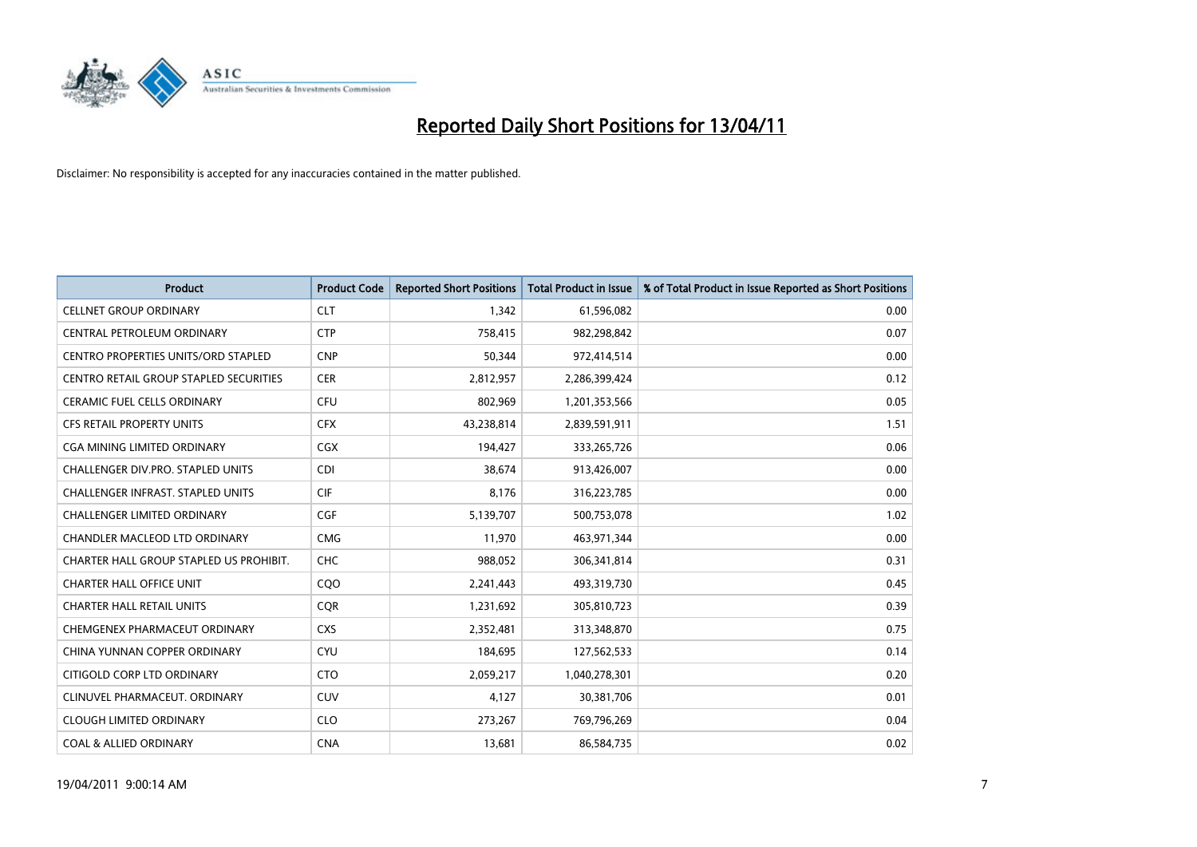

| <b>Product</b>                             | <b>Product Code</b> | <b>Reported Short Positions</b> | Total Product in Issue | % of Total Product in Issue Reported as Short Positions |
|--------------------------------------------|---------------------|---------------------------------|------------------------|---------------------------------------------------------|
| <b>CELLNET GROUP ORDINARY</b>              | <b>CLT</b>          | 1,342                           | 61,596,082             | 0.00                                                    |
| CENTRAL PETROLEUM ORDINARY                 | <b>CTP</b>          | 758,415                         | 982,298,842            | 0.07                                                    |
| <b>CENTRO PROPERTIES UNITS/ORD STAPLED</b> | <b>CNP</b>          | 50,344                          | 972,414,514            | 0.00                                                    |
| CENTRO RETAIL GROUP STAPLED SECURITIES     | <b>CER</b>          | 2,812,957                       | 2,286,399,424          | 0.12                                                    |
| <b>CERAMIC FUEL CELLS ORDINARY</b>         | <b>CFU</b>          | 802,969                         | 1,201,353,566          | 0.05                                                    |
| <b>CFS RETAIL PROPERTY UNITS</b>           | <b>CFX</b>          | 43,238,814                      | 2,839,591,911          | 1.51                                                    |
| CGA MINING LIMITED ORDINARY                | <b>CGX</b>          | 194,427                         | 333,265,726            | 0.06                                                    |
| <b>CHALLENGER DIV.PRO. STAPLED UNITS</b>   | <b>CDI</b>          | 38,674                          | 913,426,007            | 0.00                                                    |
| CHALLENGER INFRAST. STAPLED UNITS          | <b>CIF</b>          | 8,176                           | 316,223,785            | 0.00                                                    |
| <b>CHALLENGER LIMITED ORDINARY</b>         | <b>CGF</b>          | 5,139,707                       | 500,753,078            | 1.02                                                    |
| CHANDLER MACLEOD LTD ORDINARY              | <b>CMG</b>          | 11,970                          | 463,971,344            | 0.00                                                    |
| CHARTER HALL GROUP STAPLED US PROHIBIT.    | <b>CHC</b>          | 988,052                         | 306,341,814            | 0.31                                                    |
| <b>CHARTER HALL OFFICE UNIT</b>            | COO                 | 2,241,443                       | 493,319,730            | 0.45                                                    |
| <b>CHARTER HALL RETAIL UNITS</b>           | <b>COR</b>          | 1,231,692                       | 305,810,723            | 0.39                                                    |
| CHEMGENEX PHARMACEUT ORDINARY              | <b>CXS</b>          | 2,352,481                       | 313,348,870            | 0.75                                                    |
| CHINA YUNNAN COPPER ORDINARY               | <b>CYU</b>          | 184,695                         | 127,562,533            | 0.14                                                    |
| CITIGOLD CORP LTD ORDINARY                 | <b>CTO</b>          | 2,059,217                       | 1,040,278,301          | 0.20                                                    |
| CLINUVEL PHARMACEUT. ORDINARY              | <b>CUV</b>          | 4,127                           | 30,381,706             | 0.01                                                    |
| <b>CLOUGH LIMITED ORDINARY</b>             | <b>CLO</b>          | 273,267                         | 769,796,269            | 0.04                                                    |
| <b>COAL &amp; ALLIED ORDINARY</b>          | <b>CNA</b>          | 13,681                          | 86,584,735             | 0.02                                                    |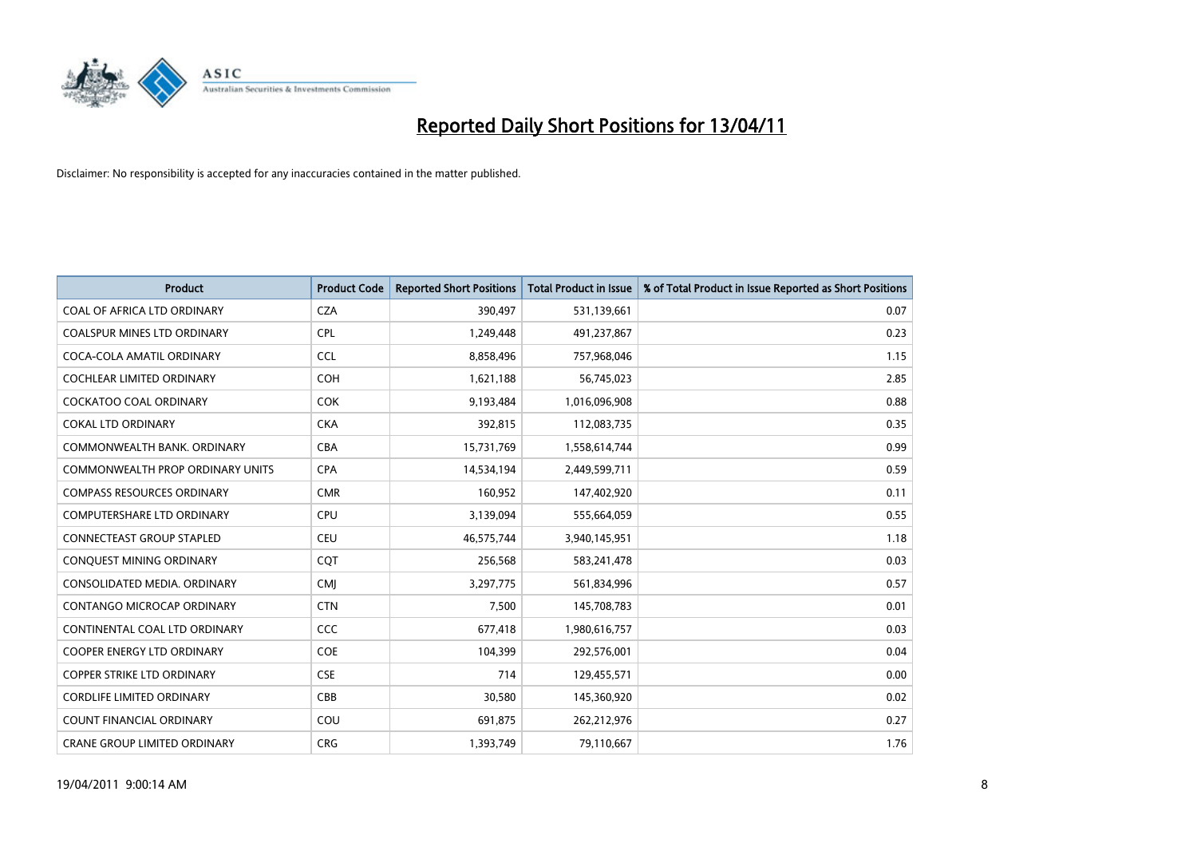

| <b>Product</b>                      | <b>Product Code</b> | <b>Reported Short Positions</b> | <b>Total Product in Issue</b> | % of Total Product in Issue Reported as Short Positions |
|-------------------------------------|---------------------|---------------------------------|-------------------------------|---------------------------------------------------------|
| COAL OF AFRICA LTD ORDINARY         | <b>CZA</b>          | 390,497                         | 531,139,661                   | 0.07                                                    |
| COALSPUR MINES LTD ORDINARY         | <b>CPL</b>          | 1,249,448                       | 491,237,867                   | 0.23                                                    |
| COCA-COLA AMATIL ORDINARY           | <b>CCL</b>          | 8,858,496                       | 757,968,046                   | 1.15                                                    |
| COCHLEAR LIMITED ORDINARY           | <b>COH</b>          | 1,621,188                       | 56,745,023                    | 2.85                                                    |
| <b>COCKATOO COAL ORDINARY</b>       | <b>COK</b>          | 9,193,484                       | 1,016,096,908                 | 0.88                                                    |
| <b>COKAL LTD ORDINARY</b>           | <b>CKA</b>          | 392,815                         | 112,083,735                   | 0.35                                                    |
| COMMONWEALTH BANK, ORDINARY         | <b>CBA</b>          | 15,731,769                      | 1,558,614,744                 | 0.99                                                    |
| COMMONWEALTH PROP ORDINARY UNITS    | <b>CPA</b>          | 14,534,194                      | 2,449,599,711                 | 0.59                                                    |
| <b>COMPASS RESOURCES ORDINARY</b>   | <b>CMR</b>          | 160,952                         | 147,402,920                   | 0.11                                                    |
| <b>COMPUTERSHARE LTD ORDINARY</b>   | <b>CPU</b>          | 3,139,094                       | 555,664,059                   | 0.55                                                    |
| CONNECTEAST GROUP STAPLED           | <b>CEU</b>          | 46,575,744                      | 3,940,145,951                 | 1.18                                                    |
| CONQUEST MINING ORDINARY            | COT                 | 256,568                         | 583,241,478                   | 0.03                                                    |
| CONSOLIDATED MEDIA, ORDINARY        | <b>CMJ</b>          | 3,297,775                       | 561,834,996                   | 0.57                                                    |
| <b>CONTANGO MICROCAP ORDINARY</b>   | <b>CTN</b>          | 7,500                           | 145,708,783                   | 0.01                                                    |
| CONTINENTAL COAL LTD ORDINARY       | <b>CCC</b>          | 677,418                         | 1,980,616,757                 | 0.03                                                    |
| COOPER ENERGY LTD ORDINARY          | <b>COE</b>          | 104,399                         | 292,576,001                   | 0.04                                                    |
| <b>COPPER STRIKE LTD ORDINARY</b>   | <b>CSE</b>          | 714                             | 129,455,571                   | 0.00                                                    |
| <b>CORDLIFE LIMITED ORDINARY</b>    | CBB                 | 30,580                          | 145,360,920                   | 0.02                                                    |
| <b>COUNT FINANCIAL ORDINARY</b>     | COU                 | 691,875                         | 262,212,976                   | 0.27                                                    |
| <b>CRANE GROUP LIMITED ORDINARY</b> | <b>CRG</b>          | 1,393,749                       | 79,110,667                    | 1.76                                                    |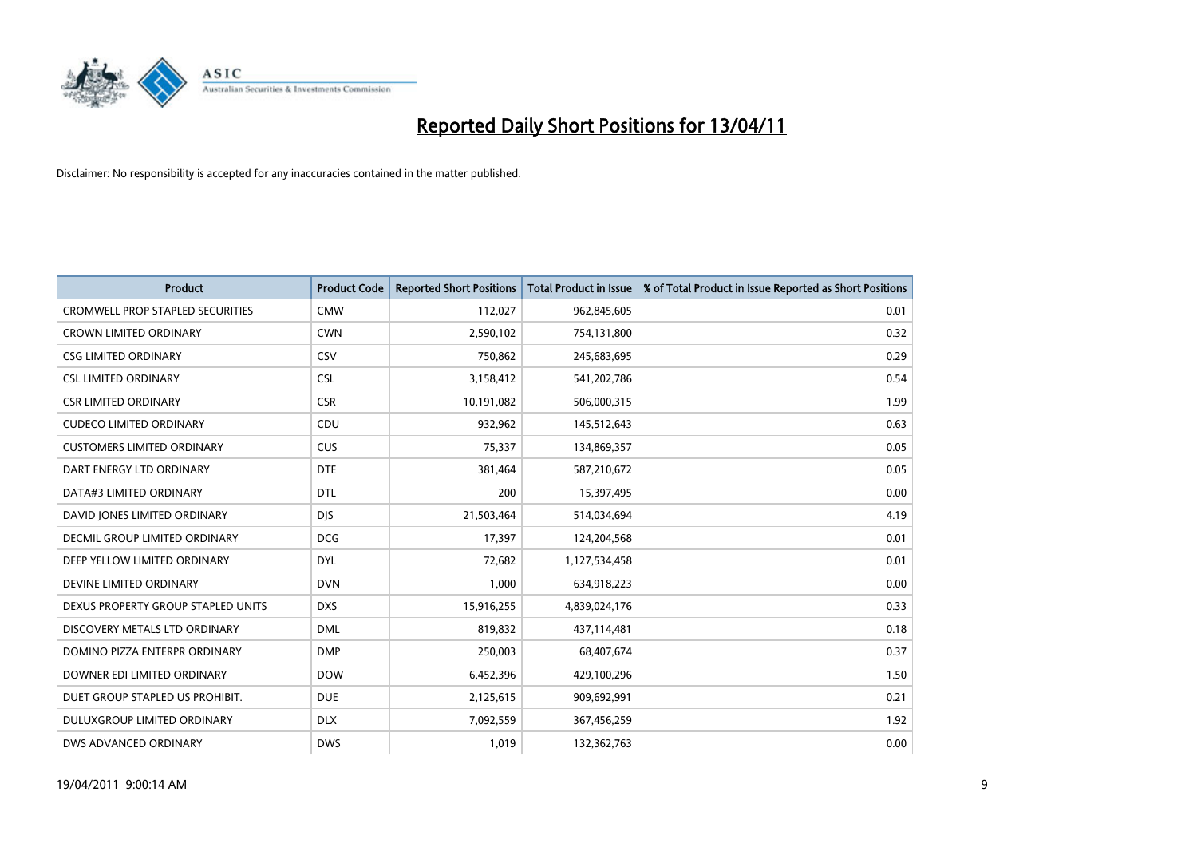

| <b>Product</b>                          | <b>Product Code</b> | <b>Reported Short Positions</b> | <b>Total Product in Issue</b> | % of Total Product in Issue Reported as Short Positions |
|-----------------------------------------|---------------------|---------------------------------|-------------------------------|---------------------------------------------------------|
| <b>CROMWELL PROP STAPLED SECURITIES</b> | <b>CMW</b>          | 112,027                         | 962,845,605                   | 0.01                                                    |
| <b>CROWN LIMITED ORDINARY</b>           | <b>CWN</b>          | 2,590,102                       | 754,131,800                   | 0.32                                                    |
| <b>CSG LIMITED ORDINARY</b>             | CSV                 | 750,862                         | 245,683,695                   | 0.29                                                    |
| <b>CSL LIMITED ORDINARY</b>             | <b>CSL</b>          | 3,158,412                       | 541,202,786                   | 0.54                                                    |
| <b>CSR LIMITED ORDINARY</b>             | <b>CSR</b>          | 10,191,082                      | 506,000,315                   | 1.99                                                    |
| <b>CUDECO LIMITED ORDINARY</b>          | CDU                 | 932,962                         | 145,512,643                   | 0.63                                                    |
| <b>CUSTOMERS LIMITED ORDINARY</b>       | <b>CUS</b>          | 75,337                          | 134,869,357                   | 0.05                                                    |
| DART ENERGY LTD ORDINARY                | <b>DTE</b>          | 381,464                         | 587,210,672                   | 0.05                                                    |
| DATA#3 LIMITED ORDINARY                 | DTL                 | 200                             | 15,397,495                    | 0.00                                                    |
| DAVID JONES LIMITED ORDINARY            | <b>DJS</b>          | 21,503,464                      | 514,034,694                   | 4.19                                                    |
| <b>DECMIL GROUP LIMITED ORDINARY</b>    | <b>DCG</b>          | 17,397                          | 124,204,568                   | 0.01                                                    |
| DEEP YELLOW LIMITED ORDINARY            | <b>DYL</b>          | 72,682                          | 1,127,534,458                 | 0.01                                                    |
| DEVINE LIMITED ORDINARY                 | <b>DVN</b>          | 1,000                           | 634,918,223                   | 0.00                                                    |
| DEXUS PROPERTY GROUP STAPLED UNITS      | <b>DXS</b>          | 15,916,255                      | 4,839,024,176                 | 0.33                                                    |
| DISCOVERY METALS LTD ORDINARY           | <b>DML</b>          | 819,832                         | 437,114,481                   | 0.18                                                    |
| DOMINO PIZZA ENTERPR ORDINARY           | <b>DMP</b>          | 250,003                         | 68,407,674                    | 0.37                                                    |
| DOWNER EDI LIMITED ORDINARY             | <b>DOW</b>          | 6,452,396                       | 429,100,296                   | 1.50                                                    |
| DUET GROUP STAPLED US PROHIBIT.         | <b>DUE</b>          | 2,125,615                       | 909,692,991                   | 0.21                                                    |
| DULUXGROUP LIMITED ORDINARY             | <b>DLX</b>          | 7,092,559                       | 367,456,259                   | 1.92                                                    |
| DWS ADVANCED ORDINARY                   | <b>DWS</b>          | 1,019                           | 132,362,763                   | 0.00                                                    |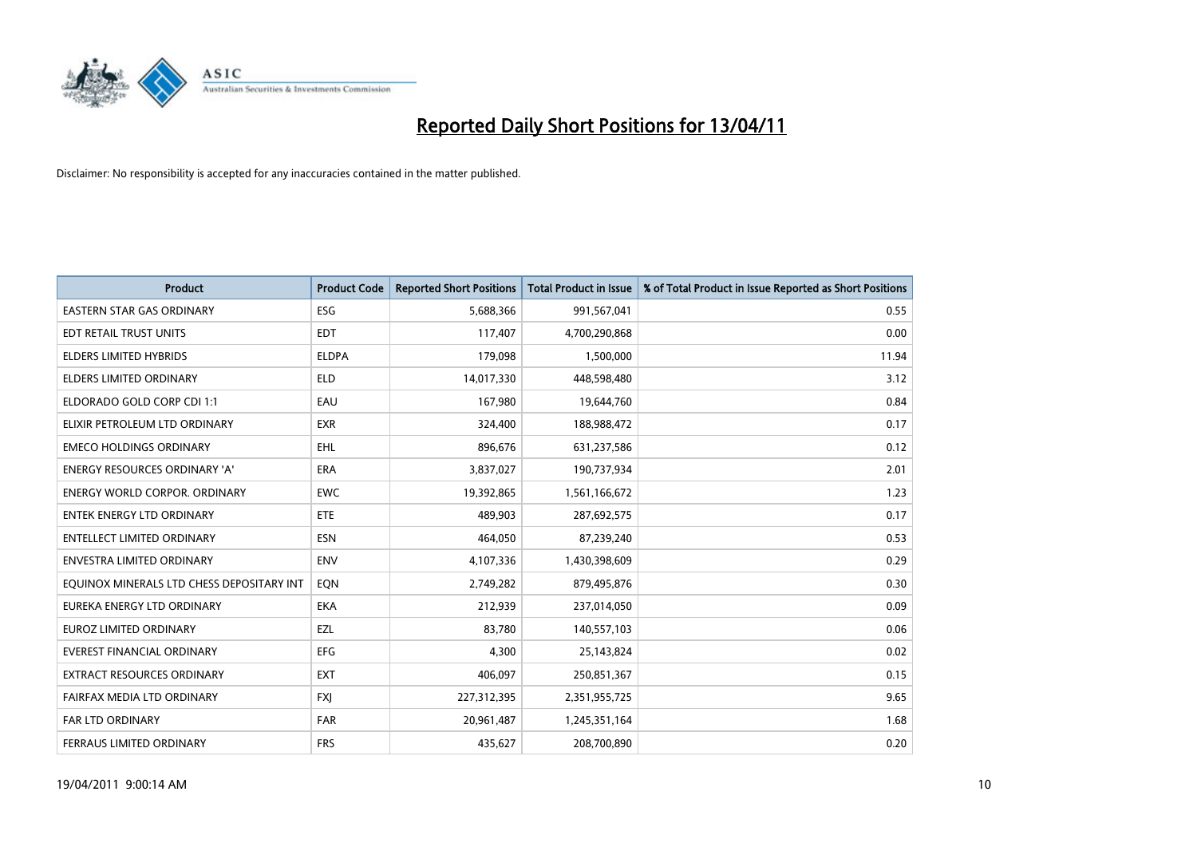

| Product                                   | <b>Product Code</b> | <b>Reported Short Positions</b> | Total Product in Issue | % of Total Product in Issue Reported as Short Positions |
|-------------------------------------------|---------------------|---------------------------------|------------------------|---------------------------------------------------------|
| <b>EASTERN STAR GAS ORDINARY</b>          | <b>ESG</b>          | 5,688,366                       | 991,567,041            | 0.55                                                    |
| EDT RETAIL TRUST UNITS                    | <b>EDT</b>          | 117,407                         | 4,700,290,868          | 0.00                                                    |
| <b>ELDERS LIMITED HYBRIDS</b>             | <b>ELDPA</b>        | 179,098                         | 1,500,000              | 11.94                                                   |
| <b>ELDERS LIMITED ORDINARY</b>            | <b>ELD</b>          | 14,017,330                      | 448,598,480            | 3.12                                                    |
| ELDORADO GOLD CORP CDI 1:1                | EAU                 | 167,980                         | 19,644,760             | 0.84                                                    |
| ELIXIR PETROLEUM LTD ORDINARY             | <b>EXR</b>          | 324,400                         | 188,988,472            | 0.17                                                    |
| <b>EMECO HOLDINGS ORDINARY</b>            | <b>EHL</b>          | 896,676                         | 631,237,586            | 0.12                                                    |
| <b>ENERGY RESOURCES ORDINARY 'A'</b>      | <b>ERA</b>          | 3,837,027                       | 190,737,934            | 2.01                                                    |
| ENERGY WORLD CORPOR. ORDINARY             | <b>EWC</b>          | 19,392,865                      | 1,561,166,672          | 1.23                                                    |
| <b>ENTEK ENERGY LTD ORDINARY</b>          | <b>ETE</b>          | 489,903                         | 287,692,575            | 0.17                                                    |
| ENTELLECT LIMITED ORDINARY                | <b>ESN</b>          | 464,050                         | 87,239,240             | 0.53                                                    |
| <b>ENVESTRA LIMITED ORDINARY</b>          | <b>ENV</b>          | 4,107,336                       | 1,430,398,609          | 0.29                                                    |
| EQUINOX MINERALS LTD CHESS DEPOSITARY INT | EQN                 | 2,749,282                       | 879,495,876            | 0.30                                                    |
| EUREKA ENERGY LTD ORDINARY                | <b>EKA</b>          | 212,939                         | 237,014,050            | 0.09                                                    |
| EUROZ LIMITED ORDINARY                    | EZL                 | 83,780                          | 140,557,103            | 0.06                                                    |
| <b>EVEREST FINANCIAL ORDINARY</b>         | EFG                 | 4,300                           | 25,143,824             | 0.02                                                    |
| EXTRACT RESOURCES ORDINARY                | <b>EXT</b>          | 406,097                         | 250,851,367            | 0.15                                                    |
| FAIRFAX MEDIA LTD ORDINARY                | <b>FXI</b>          | 227,312,395                     | 2,351,955,725          | 9.65                                                    |
| <b>FAR LTD ORDINARY</b>                   | <b>FAR</b>          | 20,961,487                      | 1,245,351,164          | 1.68                                                    |
| FERRAUS LIMITED ORDINARY                  | <b>FRS</b>          | 435,627                         | 208,700,890            | 0.20                                                    |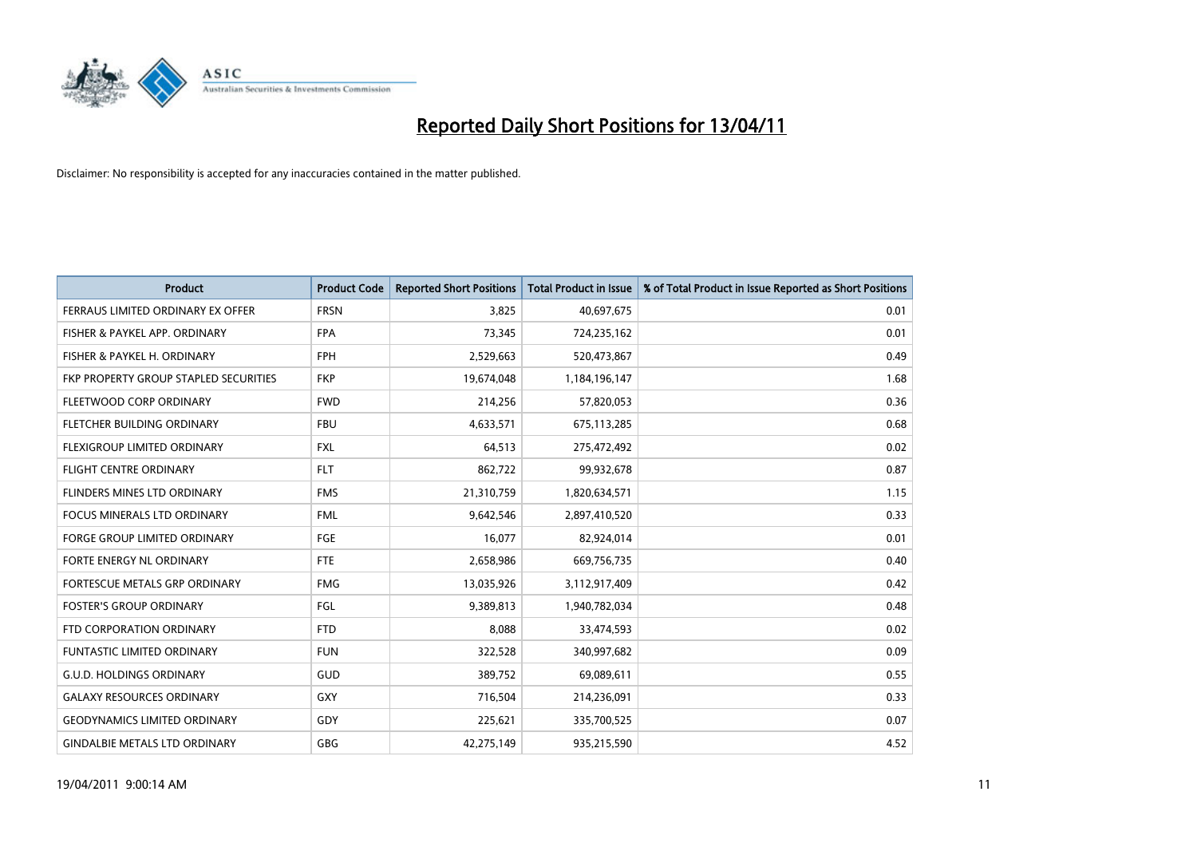

| <b>Product</b>                        | <b>Product Code</b> | <b>Reported Short Positions</b> | <b>Total Product in Issue</b> | % of Total Product in Issue Reported as Short Positions |
|---------------------------------------|---------------------|---------------------------------|-------------------------------|---------------------------------------------------------|
| FERRAUS LIMITED ORDINARY EX OFFER     | <b>FRSN</b>         | 3,825                           | 40,697,675                    | 0.01                                                    |
| FISHER & PAYKEL APP. ORDINARY         | <b>FPA</b>          | 73,345                          | 724,235,162                   | 0.01                                                    |
| FISHER & PAYKEL H. ORDINARY           | <b>FPH</b>          | 2,529,663                       | 520,473,867                   | 0.49                                                    |
| FKP PROPERTY GROUP STAPLED SECURITIES | <b>FKP</b>          | 19,674,048                      | 1,184,196,147                 | 1.68                                                    |
| FLEETWOOD CORP ORDINARY               | <b>FWD</b>          | 214,256                         | 57,820,053                    | 0.36                                                    |
| <b>FLETCHER BUILDING ORDINARY</b>     | <b>FBU</b>          | 4,633,571                       | 675,113,285                   | 0.68                                                    |
| FLEXIGROUP LIMITED ORDINARY           | <b>FXL</b>          | 64,513                          | 275,472,492                   | 0.02                                                    |
| <b>FLIGHT CENTRE ORDINARY</b>         | <b>FLT</b>          | 862,722                         | 99,932,678                    | 0.87                                                    |
| FLINDERS MINES LTD ORDINARY           | <b>FMS</b>          | 21,310,759                      | 1,820,634,571                 | 1.15                                                    |
| <b>FOCUS MINERALS LTD ORDINARY</b>    | <b>FML</b>          | 9,642,546                       | 2,897,410,520                 | 0.33                                                    |
| <b>FORGE GROUP LIMITED ORDINARY</b>   | FGE                 | 16,077                          | 82,924,014                    | 0.01                                                    |
| FORTE ENERGY NL ORDINARY              | <b>FTE</b>          | 2,658,986                       | 669,756,735                   | 0.40                                                    |
| FORTESCUE METALS GRP ORDINARY         | <b>FMG</b>          | 13,035,926                      | 3,112,917,409                 | 0.42                                                    |
| <b>FOSTER'S GROUP ORDINARY</b>        | FGL                 | 9,389,813                       | 1,940,782,034                 | 0.48                                                    |
| FTD CORPORATION ORDINARY              | <b>FTD</b>          | 8,088                           | 33,474,593                    | 0.02                                                    |
| FUNTASTIC LIMITED ORDINARY            | <b>FUN</b>          | 322,528                         | 340,997,682                   | 0.09                                                    |
| <b>G.U.D. HOLDINGS ORDINARY</b>       | GUD                 | 389,752                         | 69,089,611                    | 0.55                                                    |
| <b>GALAXY RESOURCES ORDINARY</b>      | <b>GXY</b>          | 716,504                         | 214,236,091                   | 0.33                                                    |
| <b>GEODYNAMICS LIMITED ORDINARY</b>   | GDY                 | 225,621                         | 335,700,525                   | 0.07                                                    |
| <b>GINDALBIE METALS LTD ORDINARY</b>  | <b>GBG</b>          | 42,275,149                      | 935,215,590                   | 4.52                                                    |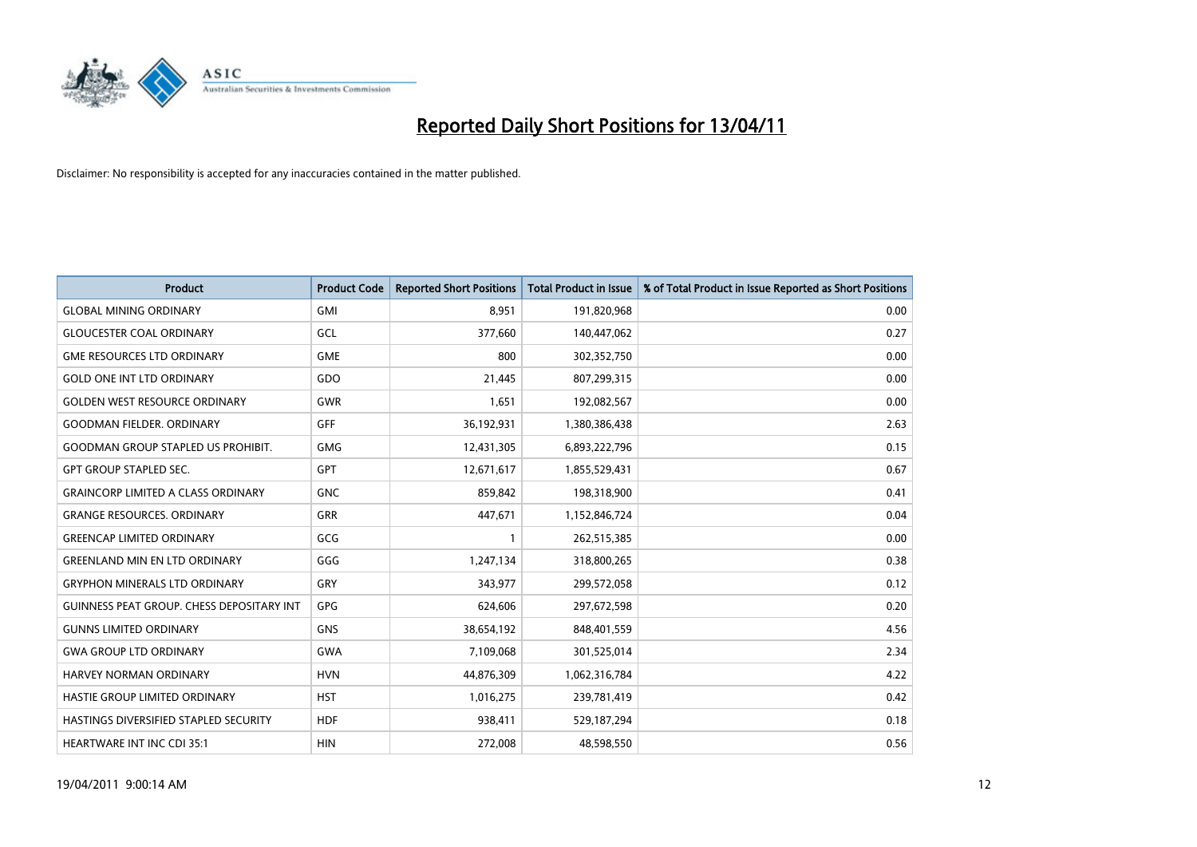

| <b>Product</b>                                   | <b>Product Code</b> | <b>Reported Short Positions</b> | <b>Total Product in Issue</b> | % of Total Product in Issue Reported as Short Positions |
|--------------------------------------------------|---------------------|---------------------------------|-------------------------------|---------------------------------------------------------|
| <b>GLOBAL MINING ORDINARY</b>                    | <b>GMI</b>          | 8,951                           | 191,820,968                   | 0.00                                                    |
| <b>GLOUCESTER COAL ORDINARY</b>                  | GCL                 | 377,660                         | 140,447,062                   | 0.27                                                    |
| <b>GME RESOURCES LTD ORDINARY</b>                | <b>GME</b>          | 800                             | 302,352,750                   | 0.00                                                    |
| <b>GOLD ONE INT LTD ORDINARY</b>                 | GDO                 | 21,445                          | 807,299,315                   | 0.00                                                    |
| <b>GOLDEN WEST RESOURCE ORDINARY</b>             | <b>GWR</b>          | 1,651                           | 192,082,567                   | 0.00                                                    |
| <b>GOODMAN FIELDER, ORDINARY</b>                 | GFF                 | 36,192,931                      | 1,380,386,438                 | 2.63                                                    |
| <b>GOODMAN GROUP STAPLED US PROHIBIT.</b>        | <b>GMG</b>          | 12,431,305                      | 6,893,222,796                 | 0.15                                                    |
| <b>GPT GROUP STAPLED SEC.</b>                    | <b>GPT</b>          | 12,671,617                      | 1,855,529,431                 | 0.67                                                    |
| <b>GRAINCORP LIMITED A CLASS ORDINARY</b>        | <b>GNC</b>          | 859,842                         | 198,318,900                   | 0.41                                                    |
| <b>GRANGE RESOURCES, ORDINARY</b>                | <b>GRR</b>          | 447,671                         | 1,152,846,724                 | 0.04                                                    |
| <b>GREENCAP LIMITED ORDINARY</b>                 | GCG                 |                                 | 262,515,385                   | 0.00                                                    |
| <b>GREENLAND MIN EN LTD ORDINARY</b>             | GGG                 | 1,247,134                       | 318,800,265                   | 0.38                                                    |
| <b>GRYPHON MINERALS LTD ORDINARY</b>             | GRY                 | 343,977                         | 299,572,058                   | 0.12                                                    |
| <b>GUINNESS PEAT GROUP. CHESS DEPOSITARY INT</b> | <b>GPG</b>          | 624,606                         | 297,672,598                   | 0.20                                                    |
| <b>GUNNS LIMITED ORDINARY</b>                    | <b>GNS</b>          | 38,654,192                      | 848,401,559                   | 4.56                                                    |
| <b>GWA GROUP LTD ORDINARY</b>                    | <b>GWA</b>          | 7,109,068                       | 301,525,014                   | 2.34                                                    |
| HARVEY NORMAN ORDINARY                           | <b>HVN</b>          | 44,876,309                      | 1,062,316,784                 | 4.22                                                    |
| HASTIE GROUP LIMITED ORDINARY                    | <b>HST</b>          | 1,016,275                       | 239,781,419                   | 0.42                                                    |
| HASTINGS DIVERSIFIED STAPLED SECURITY            | <b>HDF</b>          | 938,411                         | 529,187,294                   | 0.18                                                    |
| <b>HEARTWARE INT INC CDI 35:1</b>                | <b>HIN</b>          | 272,008                         | 48,598,550                    | 0.56                                                    |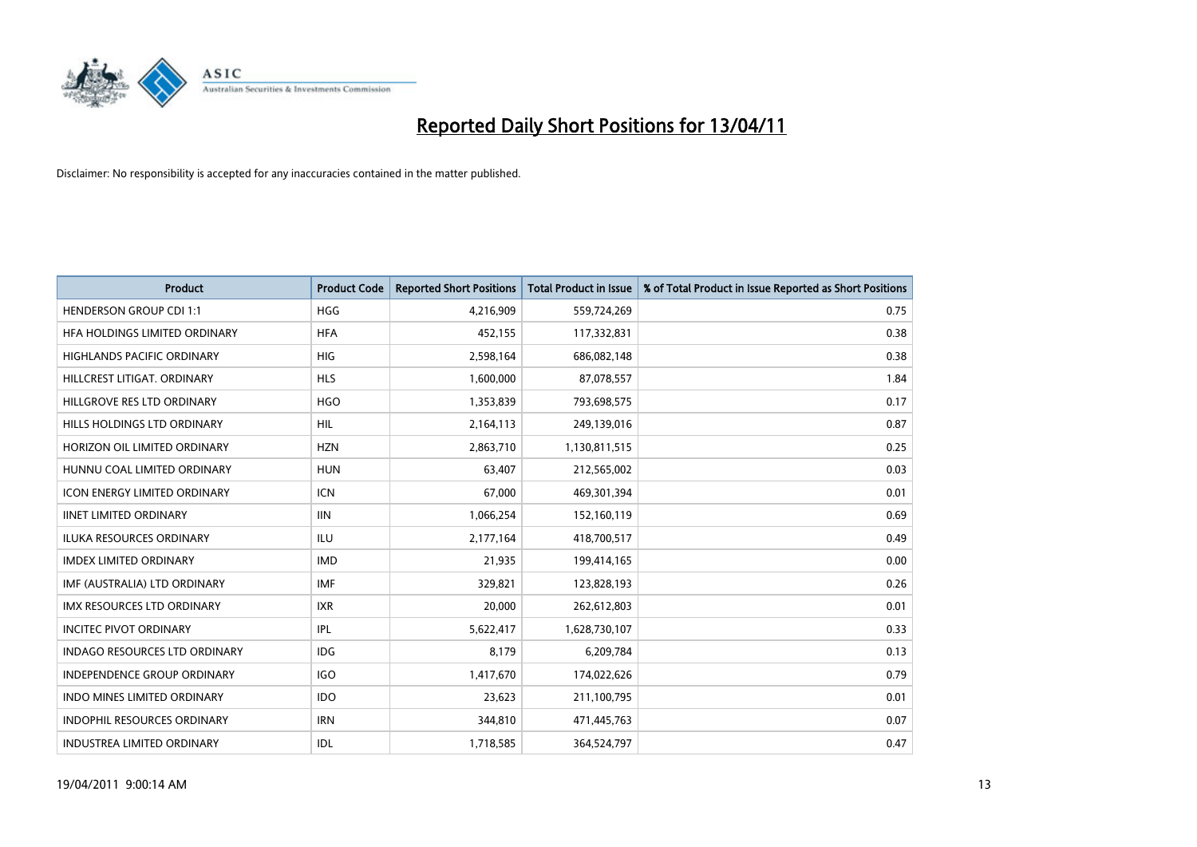

| Product                              | <b>Product Code</b> | <b>Reported Short Positions</b> | <b>Total Product in Issue</b> | % of Total Product in Issue Reported as Short Positions |
|--------------------------------------|---------------------|---------------------------------|-------------------------------|---------------------------------------------------------|
| <b>HENDERSON GROUP CDI 1:1</b>       | <b>HGG</b>          | 4,216,909                       | 559,724,269                   | 0.75                                                    |
| HFA HOLDINGS LIMITED ORDINARY        | <b>HFA</b>          | 452,155                         | 117,332,831                   | 0.38                                                    |
| <b>HIGHLANDS PACIFIC ORDINARY</b>    | <b>HIG</b>          | 2,598,164                       | 686,082,148                   | 0.38                                                    |
| HILLCREST LITIGAT, ORDINARY          | <b>HLS</b>          | 1,600,000                       | 87,078,557                    | 1.84                                                    |
| HILLGROVE RES LTD ORDINARY           | <b>HGO</b>          | 1,353,839                       | 793,698,575                   | 0.17                                                    |
| HILLS HOLDINGS LTD ORDINARY          | <b>HIL</b>          | 2,164,113                       | 249,139,016                   | 0.87                                                    |
| HORIZON OIL LIMITED ORDINARY         | <b>HZN</b>          | 2,863,710                       | 1,130,811,515                 | 0.25                                                    |
| HUNNU COAL LIMITED ORDINARY          | <b>HUN</b>          | 63,407                          | 212,565,002                   | 0.03                                                    |
| ICON ENERGY LIMITED ORDINARY         | <b>ICN</b>          | 67,000                          | 469,301,394                   | 0.01                                                    |
| <b>IINET LIMITED ORDINARY</b>        | <b>IIN</b>          | 1,066,254                       | 152,160,119                   | 0.69                                                    |
| ILUKA RESOURCES ORDINARY             | ILU                 | 2,177,164                       | 418,700,517                   | 0.49                                                    |
| <b>IMDEX LIMITED ORDINARY</b>        | <b>IMD</b>          | 21,935                          | 199,414,165                   | 0.00                                                    |
| IMF (AUSTRALIA) LTD ORDINARY         | <b>IMF</b>          | 329,821                         | 123,828,193                   | 0.26                                                    |
| <b>IMX RESOURCES LTD ORDINARY</b>    | <b>IXR</b>          | 20,000                          | 262,612,803                   | 0.01                                                    |
| <b>INCITEC PIVOT ORDINARY</b>        | IPL                 | 5,622,417                       | 1,628,730,107                 | 0.33                                                    |
| <b>INDAGO RESOURCES LTD ORDINARY</b> | IDG                 | 8,179                           | 6,209,784                     | 0.13                                                    |
| <b>INDEPENDENCE GROUP ORDINARY</b>   | <b>IGO</b>          | 1,417,670                       | 174,022,626                   | 0.79                                                    |
| INDO MINES LIMITED ORDINARY          | <b>IDO</b>          | 23,623                          | 211,100,795                   | 0.01                                                    |
| <b>INDOPHIL RESOURCES ORDINARY</b>   | <b>IRN</b>          | 344,810                         | 471,445,763                   | 0.07                                                    |
| INDUSTREA LIMITED ORDINARY           | IDL                 | 1,718,585                       | 364,524,797                   | 0.47                                                    |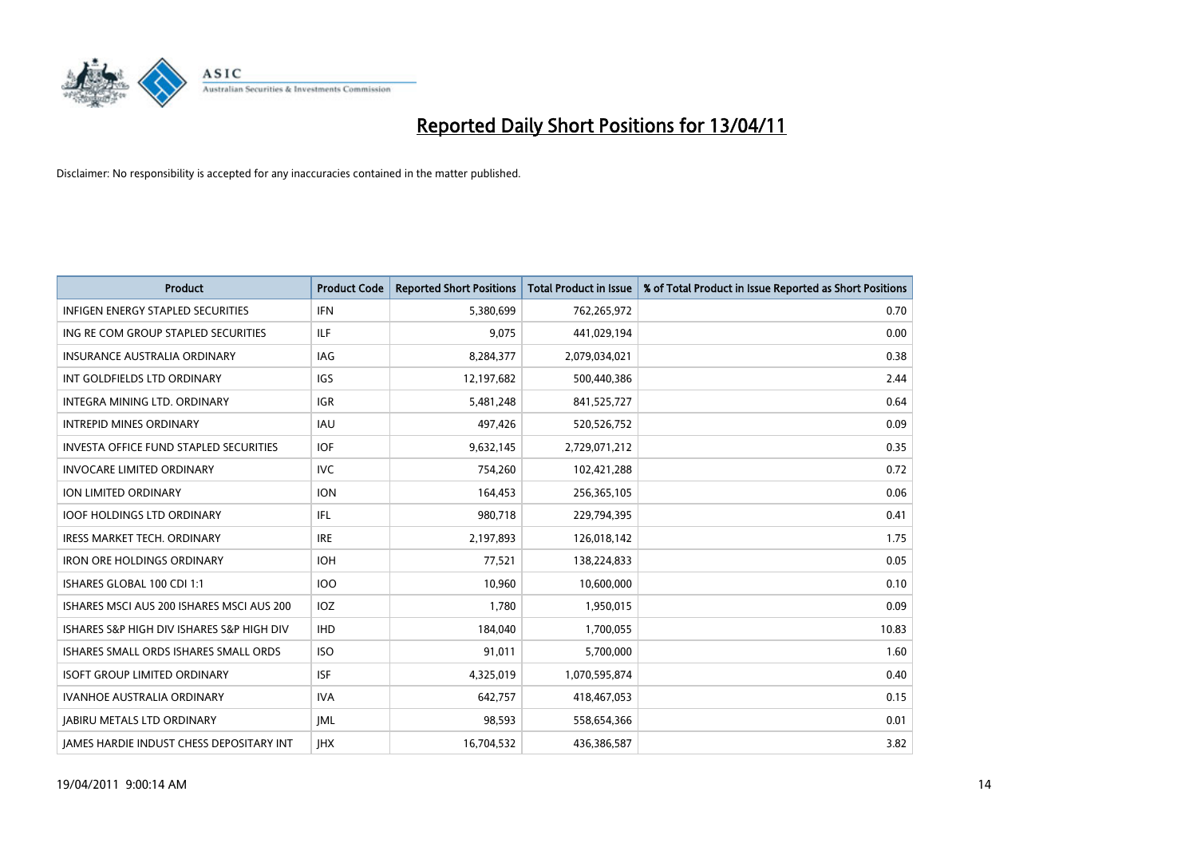

| Product                                         | <b>Product Code</b> | <b>Reported Short Positions</b> | <b>Total Product in Issue</b> | % of Total Product in Issue Reported as Short Positions |
|-------------------------------------------------|---------------------|---------------------------------|-------------------------------|---------------------------------------------------------|
| <b>INFIGEN ENERGY STAPLED SECURITIES</b>        | <b>IFN</b>          | 5,380,699                       | 762,265,972                   | 0.70                                                    |
| ING RE COM GROUP STAPLED SECURITIES             | ILF.                | 9.075                           | 441,029,194                   | 0.00                                                    |
| <b>INSURANCE AUSTRALIA ORDINARY</b>             | IAG                 | 8,284,377                       | 2,079,034,021                 | 0.38                                                    |
| INT GOLDFIELDS LTD ORDINARY                     | IGS                 | 12,197,682                      | 500,440,386                   | 2.44                                                    |
| <b>INTEGRA MINING LTD, ORDINARY</b>             | <b>IGR</b>          | 5,481,248                       | 841,525,727                   | 0.64                                                    |
| <b>INTREPID MINES ORDINARY</b>                  | <b>IAU</b>          | 497,426                         | 520,526,752                   | 0.09                                                    |
| <b>INVESTA OFFICE FUND STAPLED SECURITIES</b>   | <b>IOF</b>          | 9,632,145                       | 2,729,071,212                 | 0.35                                                    |
| <b>INVOCARE LIMITED ORDINARY</b>                | <b>IVC</b>          | 754,260                         | 102,421,288                   | 0.72                                                    |
| ION LIMITED ORDINARY                            | <b>ION</b>          | 164,453                         | 256,365,105                   | 0.06                                                    |
| <b>IOOF HOLDINGS LTD ORDINARY</b>               | IFL.                | 980,718                         | 229,794,395                   | 0.41                                                    |
| <b>IRESS MARKET TECH. ORDINARY</b>              | <b>IRE</b>          | 2,197,893                       | 126,018,142                   | 1.75                                                    |
| <b>IRON ORE HOLDINGS ORDINARY</b>               | <b>IOH</b>          | 77,521                          | 138,224,833                   | 0.05                                                    |
| ISHARES GLOBAL 100 CDI 1:1                      | <b>IOO</b>          | 10.960                          | 10,600,000                    | 0.10                                                    |
| ISHARES MSCI AUS 200 ISHARES MSCI AUS 200       | IOZ                 | 1,780                           | 1,950,015                     | 0.09                                                    |
| ISHARES S&P HIGH DIV ISHARES S&P HIGH DIV       | <b>IHD</b>          | 184,040                         | 1,700,055                     | 10.83                                                   |
| ISHARES SMALL ORDS ISHARES SMALL ORDS           | <b>ISO</b>          | 91,011                          | 5,700,000                     | 1.60                                                    |
| <b>ISOFT GROUP LIMITED ORDINARY</b>             | <b>ISF</b>          | 4,325,019                       | 1,070,595,874                 | 0.40                                                    |
| IVANHOE AUSTRALIA ORDINARY                      | <b>IVA</b>          | 642,757                         | 418,467,053                   | 0.15                                                    |
| <b>IABIRU METALS LTD ORDINARY</b>               | <b>JML</b>          | 98,593                          | 558,654,366                   | 0.01                                                    |
| <b>IAMES HARDIE INDUST CHESS DEPOSITARY INT</b> | <b>JHX</b>          | 16,704,532                      | 436,386,587                   | 3.82                                                    |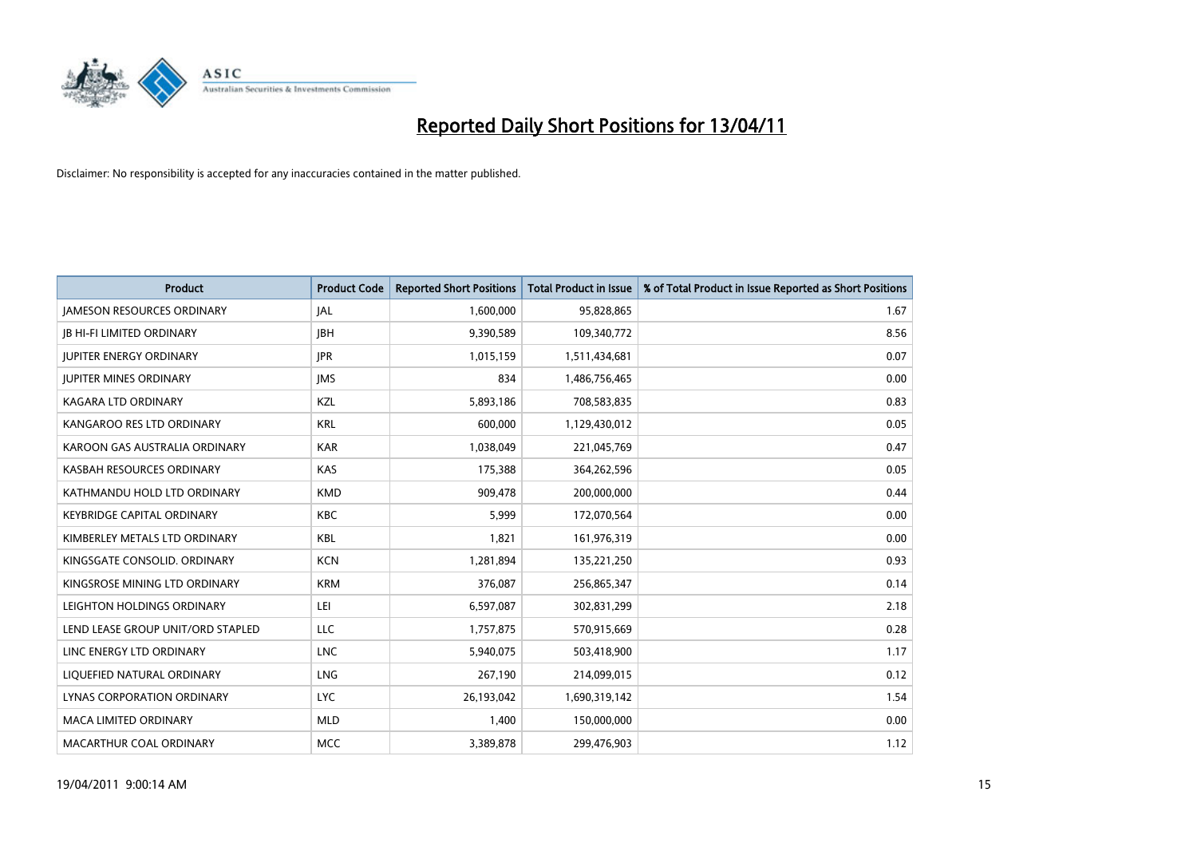

| Product                           | <b>Product Code</b> | <b>Reported Short Positions</b> | Total Product in Issue | % of Total Product in Issue Reported as Short Positions |
|-----------------------------------|---------------------|---------------------------------|------------------------|---------------------------------------------------------|
| <b>JAMESON RESOURCES ORDINARY</b> | JAL                 | 1,600,000                       | 95,828,865             | 1.67                                                    |
| <b>JB HI-FI LIMITED ORDINARY</b>  | <b>IBH</b>          | 9,390,589                       | 109,340,772            | 8.56                                                    |
| <b>JUPITER ENERGY ORDINARY</b>    | <b>JPR</b>          | 1,015,159                       | 1,511,434,681          | 0.07                                                    |
| <b>JUPITER MINES ORDINARY</b>     | <b>IMS</b>          | 834                             | 1,486,756,465          | 0.00                                                    |
| <b>KAGARA LTD ORDINARY</b>        | KZL                 | 5,893,186                       | 708,583,835            | 0.83                                                    |
| KANGAROO RES LTD ORDINARY         | <b>KRL</b>          | 600,000                         | 1,129,430,012          | 0.05                                                    |
| KAROON GAS AUSTRALIA ORDINARY     | <b>KAR</b>          | 1,038,049                       | 221,045,769            | 0.47                                                    |
| KASBAH RESOURCES ORDINARY         | <b>KAS</b>          | 175,388                         | 364,262,596            | 0.05                                                    |
| KATHMANDU HOLD LTD ORDINARY       | <b>KMD</b>          | 909,478                         | 200,000,000            | 0.44                                                    |
| <b>KEYBRIDGE CAPITAL ORDINARY</b> | <b>KBC</b>          | 5,999                           | 172,070,564            | 0.00                                                    |
| KIMBERLEY METALS LTD ORDINARY     | KBL                 | 1,821                           | 161,976,319            | 0.00                                                    |
| KINGSGATE CONSOLID. ORDINARY      | <b>KCN</b>          | 1,281,894                       | 135,221,250            | 0.93                                                    |
| KINGSROSE MINING LTD ORDINARY     | <b>KRM</b>          | 376,087                         | 256,865,347            | 0.14                                                    |
| LEIGHTON HOLDINGS ORDINARY        | LEI                 | 6,597,087                       | 302,831,299            | 2.18                                                    |
| LEND LEASE GROUP UNIT/ORD STAPLED | LLC                 | 1,757,875                       | 570,915,669            | 0.28                                                    |
| LINC ENERGY LTD ORDINARY          | <b>LNC</b>          | 5,940,075                       | 503,418,900            | 1.17                                                    |
| LIQUEFIED NATURAL ORDINARY        | <b>LNG</b>          | 267,190                         | 214,099,015            | 0.12                                                    |
| LYNAS CORPORATION ORDINARY        | <b>LYC</b>          | 26,193,042                      | 1,690,319,142          | 1.54                                                    |
| <b>MACA LIMITED ORDINARY</b>      | <b>MLD</b>          | 1,400                           | 150,000,000            | 0.00                                                    |
| MACARTHUR COAL ORDINARY           | <b>MCC</b>          | 3,389,878                       | 299,476,903            | 1.12                                                    |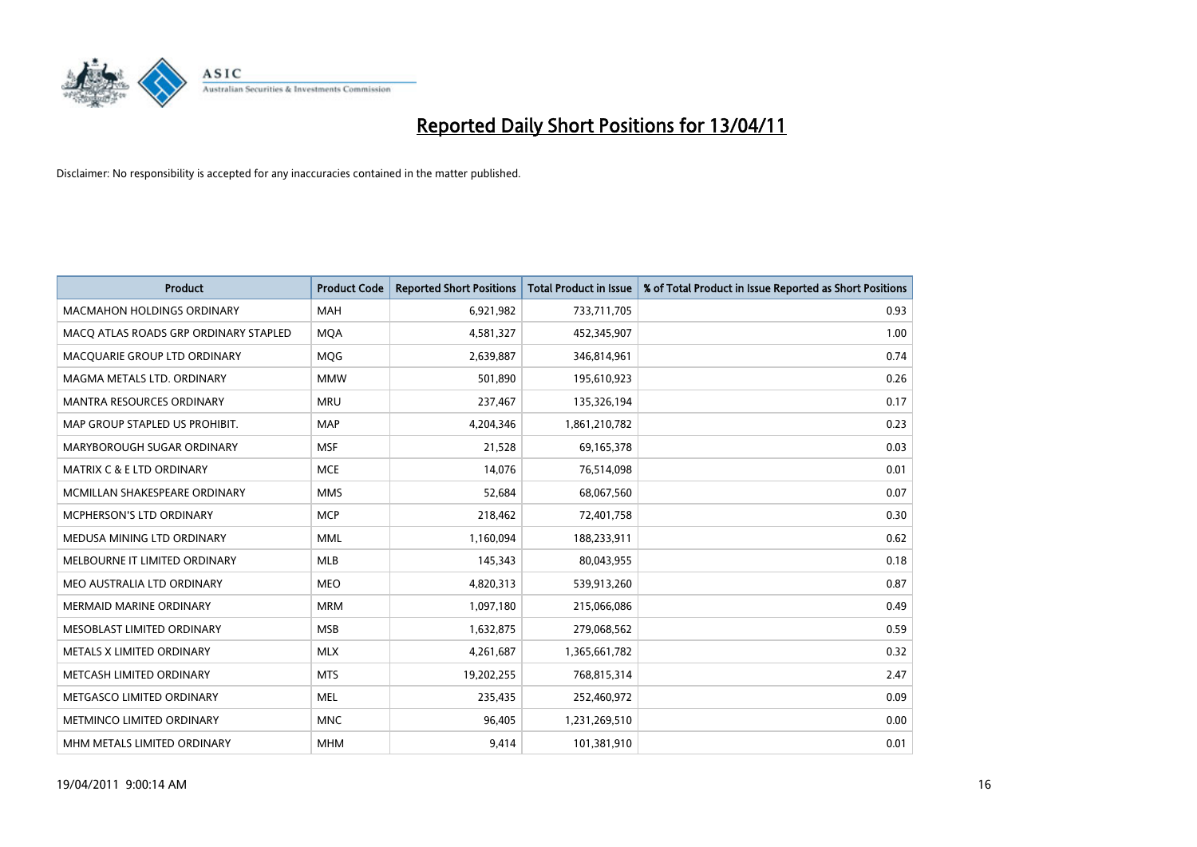

| <b>Product</b>                        | <b>Product Code</b> | <b>Reported Short Positions</b> | Total Product in Issue | % of Total Product in Issue Reported as Short Positions |
|---------------------------------------|---------------------|---------------------------------|------------------------|---------------------------------------------------------|
| <b>MACMAHON HOLDINGS ORDINARY</b>     | <b>MAH</b>          | 6,921,982                       | 733,711,705            | 0.93                                                    |
| MACQ ATLAS ROADS GRP ORDINARY STAPLED | <b>MOA</b>          | 4,581,327                       | 452,345,907            | 1.00                                                    |
| MACQUARIE GROUP LTD ORDINARY          | <b>MOG</b>          | 2,639,887                       | 346,814,961            | 0.74                                                    |
| MAGMA METALS LTD. ORDINARY            | <b>MMW</b>          | 501,890                         | 195,610,923            | 0.26                                                    |
| <b>MANTRA RESOURCES ORDINARY</b>      | <b>MRU</b>          | 237,467                         | 135,326,194            | 0.17                                                    |
| MAP GROUP STAPLED US PROHIBIT.        | <b>MAP</b>          | 4,204,346                       | 1,861,210,782          | 0.23                                                    |
| MARYBOROUGH SUGAR ORDINARY            | <b>MSF</b>          | 21,528                          | 69,165,378             | 0.03                                                    |
| MATRIX C & E LTD ORDINARY             | <b>MCE</b>          | 14,076                          | 76,514,098             | 0.01                                                    |
| MCMILLAN SHAKESPEARE ORDINARY         | <b>MMS</b>          | 52,684                          | 68,067,560             | 0.07                                                    |
| <b>MCPHERSON'S LTD ORDINARY</b>       | <b>MCP</b>          | 218,462                         | 72,401,758             | 0.30                                                    |
| MEDUSA MINING LTD ORDINARY            | <b>MML</b>          | 1,160,094                       | 188,233,911            | 0.62                                                    |
| MELBOURNE IT LIMITED ORDINARY         | <b>MLB</b>          | 145,343                         | 80,043,955             | 0.18                                                    |
| MEO AUSTRALIA LTD ORDINARY            | <b>MEO</b>          | 4,820,313                       | 539,913,260            | 0.87                                                    |
| <b>MERMAID MARINE ORDINARY</b>        | <b>MRM</b>          | 1,097,180                       | 215,066,086            | 0.49                                                    |
| MESOBLAST LIMITED ORDINARY            | <b>MSB</b>          | 1,632,875                       | 279,068,562            | 0.59                                                    |
| METALS X LIMITED ORDINARY             | <b>MLX</b>          | 4,261,687                       | 1,365,661,782          | 0.32                                                    |
| METCASH LIMITED ORDINARY              | <b>MTS</b>          | 19,202,255                      | 768,815,314            | 2.47                                                    |
| METGASCO LIMITED ORDINARY             | <b>MEL</b>          | 235,435                         | 252,460,972            | 0.09                                                    |
| METMINCO LIMITED ORDINARY             | <b>MNC</b>          | 96,405                          | 1,231,269,510          | 0.00                                                    |
| MHM METALS LIMITED ORDINARY           | <b>MHM</b>          | 9,414                           | 101,381,910            | 0.01                                                    |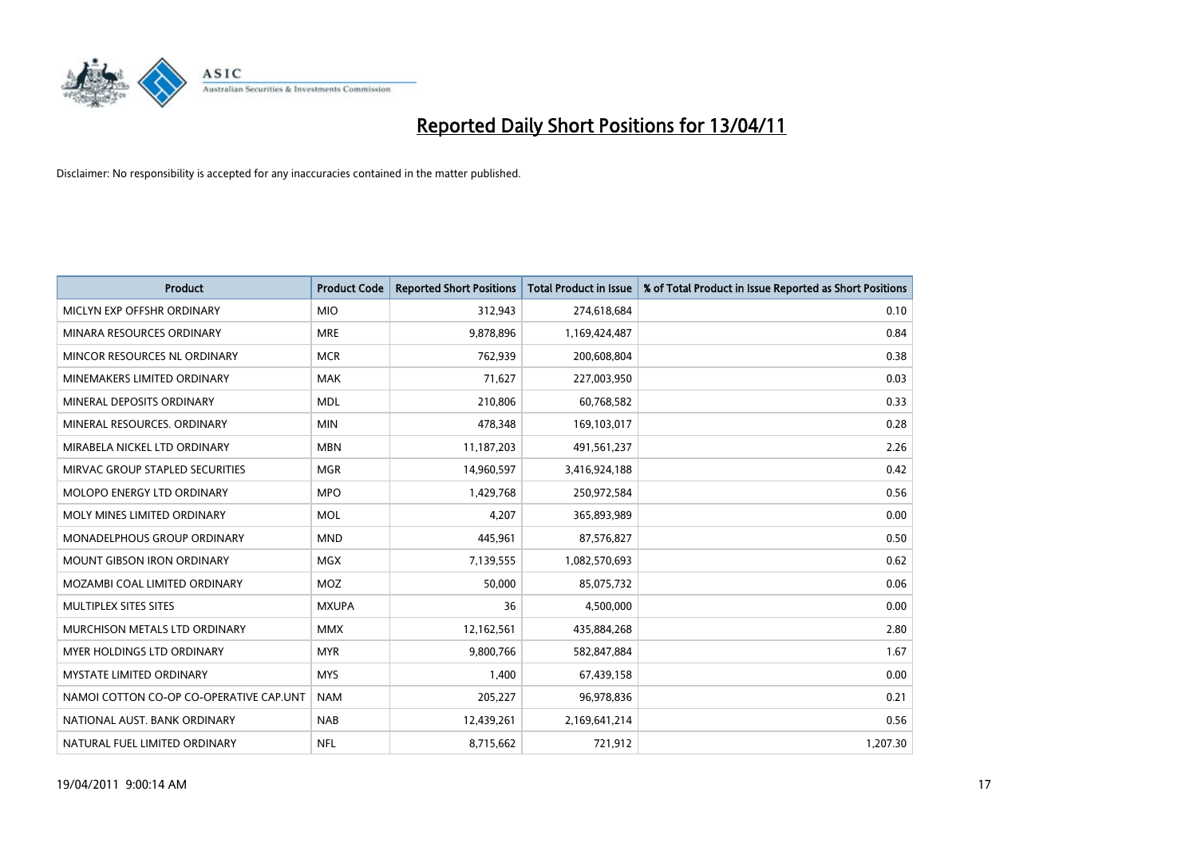

| <b>Product</b>                          | <b>Product Code</b> | <b>Reported Short Positions</b> | <b>Total Product in Issue</b> | % of Total Product in Issue Reported as Short Positions |
|-----------------------------------------|---------------------|---------------------------------|-------------------------------|---------------------------------------------------------|
| MICLYN EXP OFFSHR ORDINARY              | <b>MIO</b>          | 312,943                         | 274,618,684                   | 0.10                                                    |
| MINARA RESOURCES ORDINARY               | <b>MRE</b>          | 9,878,896                       | 1,169,424,487                 | 0.84                                                    |
| MINCOR RESOURCES NL ORDINARY            | <b>MCR</b>          | 762,939                         | 200,608,804                   | 0.38                                                    |
| MINEMAKERS LIMITED ORDINARY             | <b>MAK</b>          | 71,627                          | 227,003,950                   | 0.03                                                    |
| MINERAL DEPOSITS ORDINARY               | <b>MDL</b>          | 210,806                         | 60,768,582                    | 0.33                                                    |
| MINERAL RESOURCES, ORDINARY             | <b>MIN</b>          | 478,348                         | 169,103,017                   | 0.28                                                    |
| MIRABELA NICKEL LTD ORDINARY            | <b>MBN</b>          | 11,187,203                      | 491,561,237                   | 2.26                                                    |
| MIRVAC GROUP STAPLED SECURITIES         | <b>MGR</b>          | 14,960,597                      | 3,416,924,188                 | 0.42                                                    |
| MOLOPO ENERGY LTD ORDINARY              | <b>MPO</b>          | 1,429,768                       | 250,972,584                   | 0.56                                                    |
| MOLY MINES LIMITED ORDINARY             | <b>MOL</b>          | 4,207                           | 365,893,989                   | 0.00                                                    |
| MONADELPHOUS GROUP ORDINARY             | <b>MND</b>          | 445,961                         | 87,576,827                    | 0.50                                                    |
| <b>MOUNT GIBSON IRON ORDINARY</b>       | <b>MGX</b>          | 7,139,555                       | 1,082,570,693                 | 0.62                                                    |
| MOZAMBI COAL LIMITED ORDINARY           | MOZ                 | 50,000                          | 85,075,732                    | 0.06                                                    |
| MULTIPLEX SITES SITES                   | <b>MXUPA</b>        | 36                              | 4,500,000                     | 0.00                                                    |
| MURCHISON METALS LTD ORDINARY           | <b>MMX</b>          | 12,162,561                      | 435,884,268                   | 2.80                                                    |
| MYER HOLDINGS LTD ORDINARY              | <b>MYR</b>          | 9,800,766                       | 582,847,884                   | 1.67                                                    |
| <b>MYSTATE LIMITED ORDINARY</b>         | <b>MYS</b>          | 1,400                           | 67,439,158                    | 0.00                                                    |
| NAMOI COTTON CO-OP CO-OPERATIVE CAP.UNT | <b>NAM</b>          | 205,227                         | 96,978,836                    | 0.21                                                    |
| NATIONAL AUST, BANK ORDINARY            | <b>NAB</b>          | 12,439,261                      | 2,169,641,214                 | 0.56                                                    |
| NATURAL FUEL LIMITED ORDINARY           | <b>NFL</b>          | 8,715,662                       | 721,912                       | 1.207.30                                                |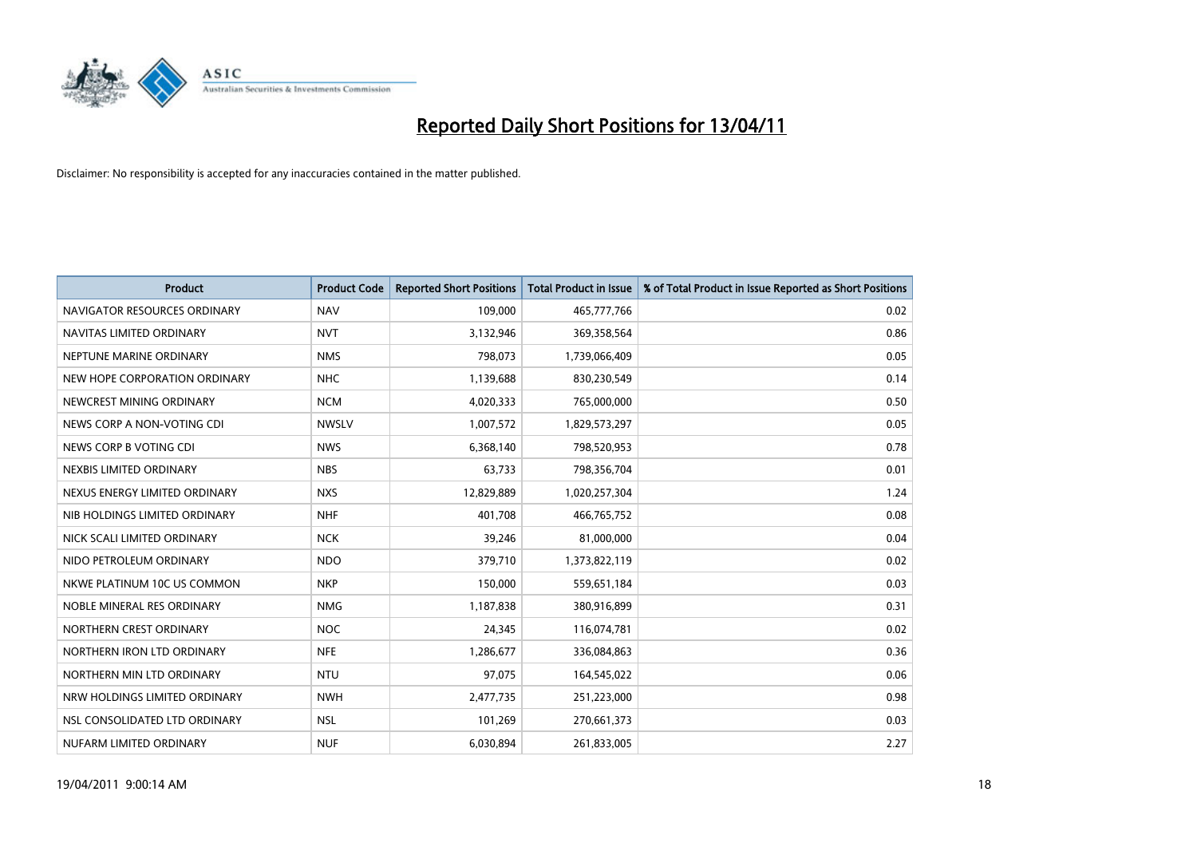

| <b>Product</b>                | <b>Product Code</b> | <b>Reported Short Positions</b> | <b>Total Product in Issue</b> | % of Total Product in Issue Reported as Short Positions |
|-------------------------------|---------------------|---------------------------------|-------------------------------|---------------------------------------------------------|
| NAVIGATOR RESOURCES ORDINARY  | <b>NAV</b>          | 109,000                         | 465,777,766                   | 0.02                                                    |
| NAVITAS LIMITED ORDINARY      | <b>NVT</b>          | 3,132,946                       | 369,358,564                   | 0.86                                                    |
| NEPTUNE MARINE ORDINARY       | <b>NMS</b>          | 798,073                         | 1,739,066,409                 | 0.05                                                    |
| NEW HOPE CORPORATION ORDINARY | <b>NHC</b>          | 1,139,688                       | 830,230,549                   | 0.14                                                    |
| NEWCREST MINING ORDINARY      | <b>NCM</b>          | 4,020,333                       | 765,000,000                   | 0.50                                                    |
| NEWS CORP A NON-VOTING CDI    | <b>NWSLV</b>        | 1,007,572                       | 1,829,573,297                 | 0.05                                                    |
| NEWS CORP B VOTING CDI        | <b>NWS</b>          | 6,368,140                       | 798,520,953                   | 0.78                                                    |
| NEXBIS LIMITED ORDINARY       | <b>NBS</b>          | 63,733                          | 798,356,704                   | 0.01                                                    |
| NEXUS ENERGY LIMITED ORDINARY | <b>NXS</b>          | 12,829,889                      | 1,020,257,304                 | 1.24                                                    |
| NIB HOLDINGS LIMITED ORDINARY | <b>NHF</b>          | 401,708                         | 466,765,752                   | 0.08                                                    |
| NICK SCALI LIMITED ORDINARY   | <b>NCK</b>          | 39,246                          | 81,000,000                    | 0.04                                                    |
| NIDO PETROLEUM ORDINARY       | <b>NDO</b>          | 379,710                         | 1,373,822,119                 | 0.02                                                    |
| NKWE PLATINUM 10C US COMMON   | <b>NKP</b>          | 150,000                         | 559,651,184                   | 0.03                                                    |
| NOBLE MINERAL RES ORDINARY    | <b>NMG</b>          | 1,187,838                       | 380,916,899                   | 0.31                                                    |
| NORTHERN CREST ORDINARY       | <b>NOC</b>          | 24,345                          | 116,074,781                   | 0.02                                                    |
| NORTHERN IRON LTD ORDINARY    | <b>NFE</b>          | 1,286,677                       | 336,084,863                   | 0.36                                                    |
| NORTHERN MIN LTD ORDINARY     | <b>NTU</b>          | 97,075                          | 164,545,022                   | 0.06                                                    |
| NRW HOLDINGS LIMITED ORDINARY | <b>NWH</b>          | 2,477,735                       | 251,223,000                   | 0.98                                                    |
| NSL CONSOLIDATED LTD ORDINARY | <b>NSL</b>          | 101,269                         | 270,661,373                   | 0.03                                                    |
| NUFARM LIMITED ORDINARY       | <b>NUF</b>          | 6,030,894                       | 261,833,005                   | 2.27                                                    |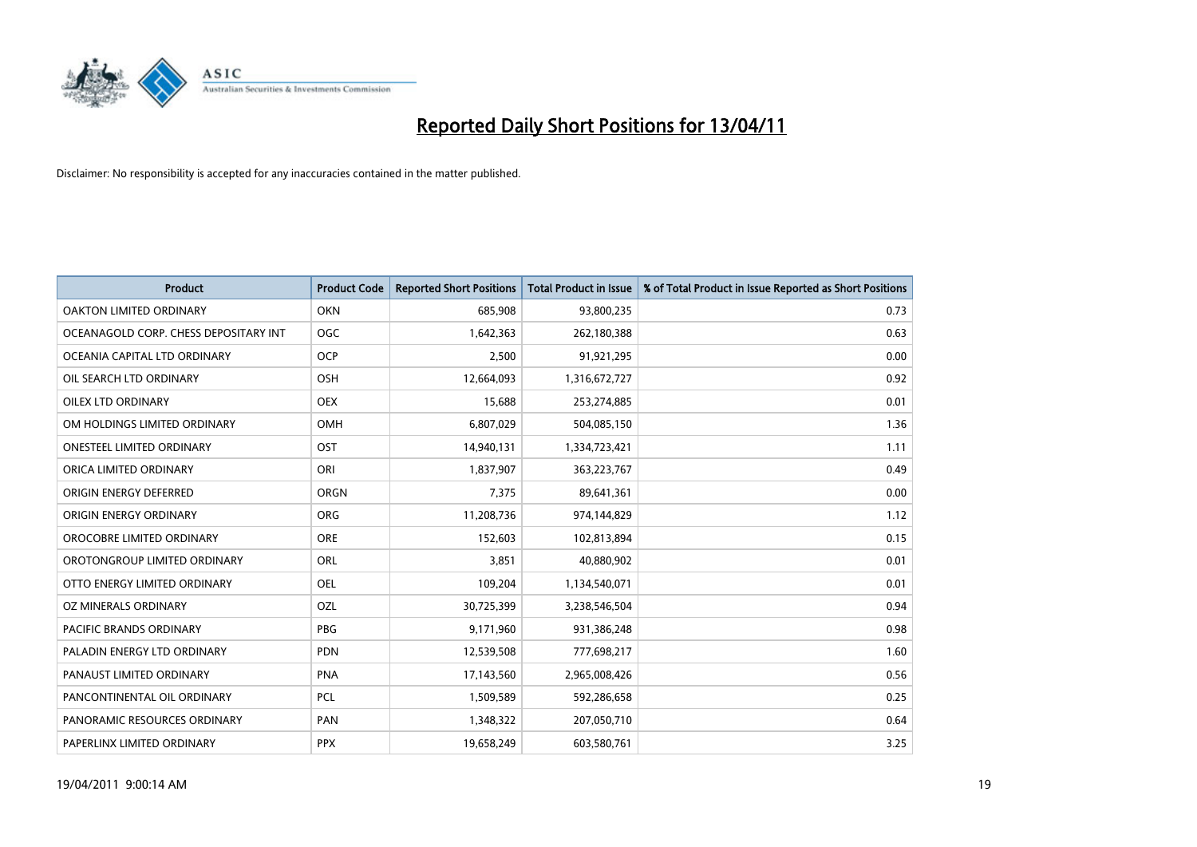

| Product                               | <b>Product Code</b> | <b>Reported Short Positions</b> | Total Product in Issue | % of Total Product in Issue Reported as Short Positions |
|---------------------------------------|---------------------|---------------------------------|------------------------|---------------------------------------------------------|
| <b>OAKTON LIMITED ORDINARY</b>        | <b>OKN</b>          | 685,908                         | 93,800,235             | 0.73                                                    |
| OCEANAGOLD CORP. CHESS DEPOSITARY INT | <b>OGC</b>          | 1,642,363                       | 262,180,388            | 0.63                                                    |
| OCEANIA CAPITAL LTD ORDINARY          | <b>OCP</b>          | 2,500                           | 91,921,295             | 0.00                                                    |
| OIL SEARCH LTD ORDINARY               | OSH                 | 12,664,093                      | 1,316,672,727          | 0.92                                                    |
| <b>OILEX LTD ORDINARY</b>             | <b>OEX</b>          | 15,688                          | 253,274,885            | 0.01                                                    |
| OM HOLDINGS LIMITED ORDINARY          | OMH                 | 6,807,029                       | 504,085,150            | 1.36                                                    |
| <b>ONESTEEL LIMITED ORDINARY</b>      | OST                 | 14,940,131                      | 1,334,723,421          | 1.11                                                    |
| ORICA LIMITED ORDINARY                | ORI                 | 1,837,907                       | 363,223,767            | 0.49                                                    |
| ORIGIN ENERGY DEFERRED                | ORGN                | 7,375                           | 89,641,361             | 0.00                                                    |
| ORIGIN ENERGY ORDINARY                | ORG                 | 11,208,736                      | 974,144,829            | 1.12                                                    |
| OROCOBRE LIMITED ORDINARY             | <b>ORE</b>          | 152,603                         | 102,813,894            | 0.15                                                    |
| OROTONGROUP LIMITED ORDINARY          | ORL                 | 3,851                           | 40,880,902             | 0.01                                                    |
| OTTO ENERGY LIMITED ORDINARY          | <b>OEL</b>          | 109,204                         | 1,134,540,071          | 0.01                                                    |
| OZ MINERALS ORDINARY                  | OZL                 | 30,725,399                      | 3,238,546,504          | 0.94                                                    |
| <b>PACIFIC BRANDS ORDINARY</b>        | <b>PBG</b>          | 9,171,960                       | 931,386,248            | 0.98                                                    |
| PALADIN ENERGY LTD ORDINARY           | <b>PDN</b>          | 12,539,508                      | 777,698,217            | 1.60                                                    |
| PANAUST LIMITED ORDINARY              | <b>PNA</b>          | 17,143,560                      | 2,965,008,426          | 0.56                                                    |
| PANCONTINENTAL OIL ORDINARY           | PCL                 | 1,509,589                       | 592,286,658            | 0.25                                                    |
| PANORAMIC RESOURCES ORDINARY          | PAN                 | 1,348,322                       | 207,050,710            | 0.64                                                    |
| PAPERLINX LIMITED ORDINARY            | <b>PPX</b>          | 19,658,249                      | 603,580,761            | 3.25                                                    |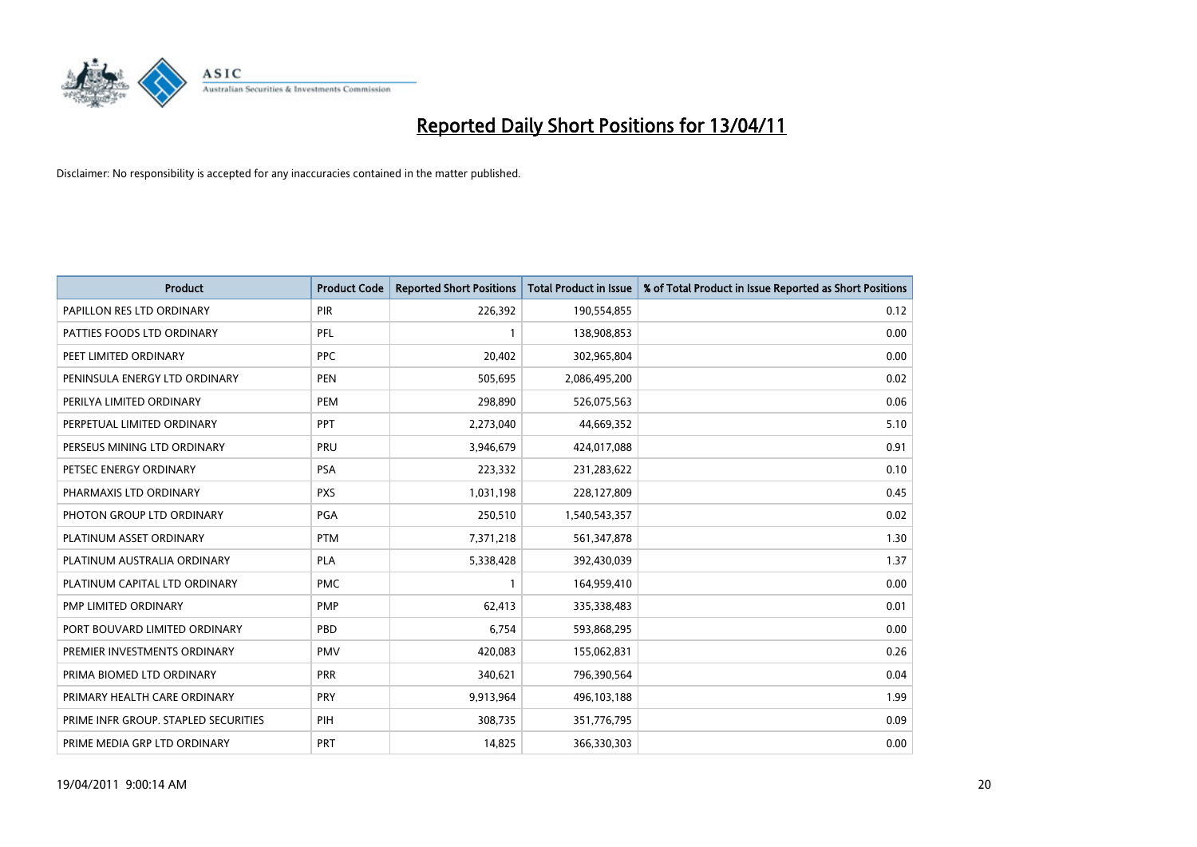

| Product                              | <b>Product Code</b> | <b>Reported Short Positions</b> | Total Product in Issue | % of Total Product in Issue Reported as Short Positions |
|--------------------------------------|---------------------|---------------------------------|------------------------|---------------------------------------------------------|
| PAPILLON RES LTD ORDINARY            | PIR                 | 226,392                         | 190,554,855            | 0.12                                                    |
| PATTIES FOODS LTD ORDINARY           | PFL                 |                                 | 138,908,853            | 0.00                                                    |
| PEET LIMITED ORDINARY                | <b>PPC</b>          | 20,402                          | 302,965,804            | 0.00                                                    |
| PENINSULA ENERGY LTD ORDINARY        | <b>PEN</b>          | 505,695                         | 2,086,495,200          | 0.02                                                    |
| PERILYA LIMITED ORDINARY             | PEM                 | 298.890                         | 526,075,563            | 0.06                                                    |
| PERPETUAL LIMITED ORDINARY           | <b>PPT</b>          | 2,273,040                       | 44,669,352             | 5.10                                                    |
| PERSEUS MINING LTD ORDINARY          | PRU                 | 3,946,679                       | 424,017,088            | 0.91                                                    |
| PETSEC ENERGY ORDINARY               | <b>PSA</b>          | 223,332                         | 231,283,622            | 0.10                                                    |
| PHARMAXIS LTD ORDINARY               | <b>PXS</b>          | 1,031,198                       | 228,127,809            | 0.45                                                    |
| PHOTON GROUP LTD ORDINARY            | PGA                 | 250,510                         | 1,540,543,357          | 0.02                                                    |
| PLATINUM ASSET ORDINARY              | <b>PTM</b>          | 7,371,218                       | 561,347,878            | 1.30                                                    |
| PLATINUM AUSTRALIA ORDINARY          | <b>PLA</b>          | 5,338,428                       | 392,430,039            | 1.37                                                    |
| PLATINUM CAPITAL LTD ORDINARY        | <b>PMC</b>          |                                 | 164,959,410            | 0.00                                                    |
| PMP LIMITED ORDINARY                 | <b>PMP</b>          | 62,413                          | 335,338,483            | 0.01                                                    |
| PORT BOUVARD LIMITED ORDINARY        | PBD                 | 6,754                           | 593,868,295            | 0.00                                                    |
| PREMIER INVESTMENTS ORDINARY         | PMV                 | 420,083                         | 155,062,831            | 0.26                                                    |
| PRIMA BIOMED LTD ORDINARY            | PRR                 | 340,621                         | 796,390,564            | 0.04                                                    |
| PRIMARY HEALTH CARE ORDINARY         | <b>PRY</b>          | 9,913,964                       | 496,103,188            | 1.99                                                    |
| PRIME INFR GROUP. STAPLED SECURITIES | PIH                 | 308,735                         | 351,776,795            | 0.09                                                    |
| PRIME MEDIA GRP LTD ORDINARY         | PRT                 | 14,825                          | 366,330,303            | 0.00                                                    |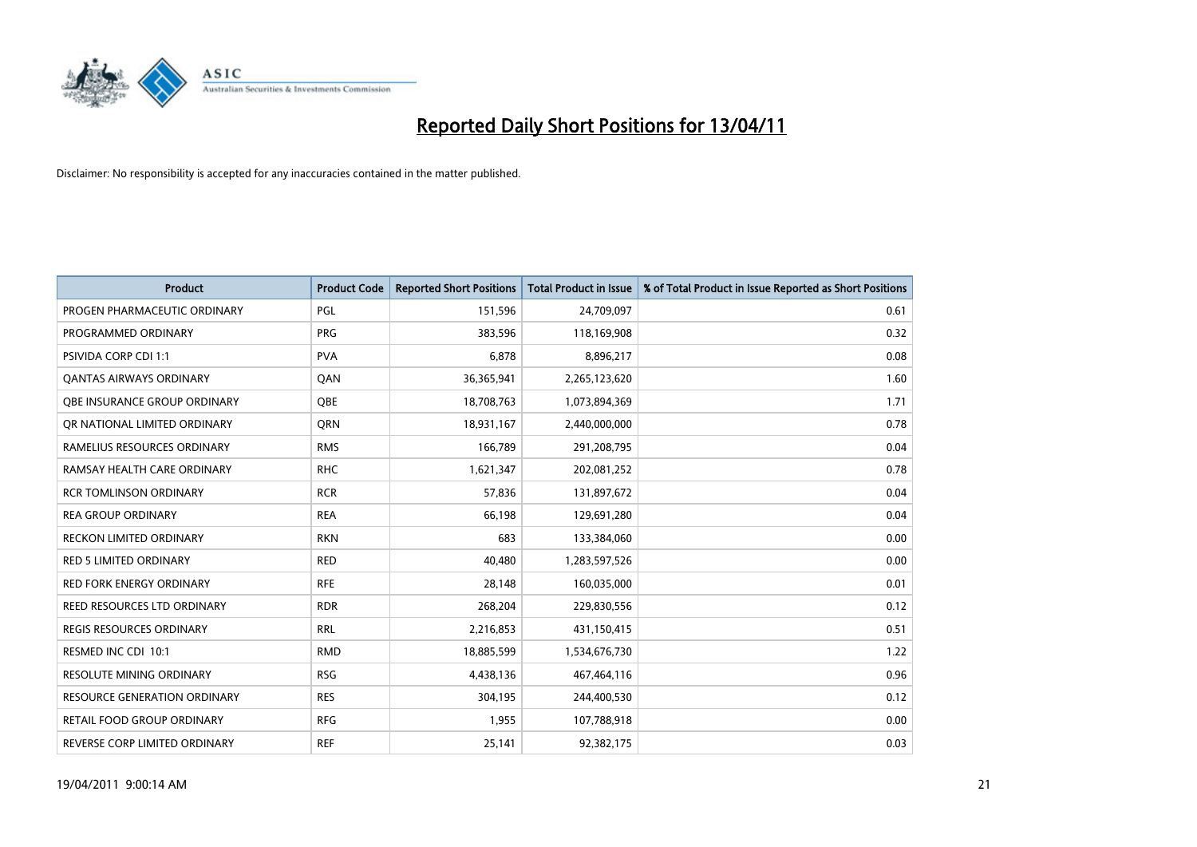

| <b>Product</b>                     | <b>Product Code</b> | <b>Reported Short Positions</b> | Total Product in Issue | % of Total Product in Issue Reported as Short Positions |
|------------------------------------|---------------------|---------------------------------|------------------------|---------------------------------------------------------|
| PROGEN PHARMACEUTIC ORDINARY       | PGL                 | 151,596                         | 24,709,097             | 0.61                                                    |
| PROGRAMMED ORDINARY                | <b>PRG</b>          | 383,596                         | 118,169,908            | 0.32                                                    |
| <b>PSIVIDA CORP CDI 1:1</b>        | <b>PVA</b>          | 6,878                           | 8,896,217              | 0.08                                                    |
| <b>QANTAS AIRWAYS ORDINARY</b>     | QAN                 | 36,365,941                      | 2,265,123,620          | 1.60                                                    |
| OBE INSURANCE GROUP ORDINARY       | <b>OBE</b>          | 18,708,763                      | 1,073,894,369          | 1.71                                                    |
| OR NATIONAL LIMITED ORDINARY       | <b>ORN</b>          | 18,931,167                      | 2,440,000,000          | 0.78                                                    |
| RAMELIUS RESOURCES ORDINARY        | <b>RMS</b>          | 166,789                         | 291,208,795            | 0.04                                                    |
| RAMSAY HEALTH CARE ORDINARY        | <b>RHC</b>          | 1,621,347                       | 202,081,252            | 0.78                                                    |
| <b>RCR TOMLINSON ORDINARY</b>      | <b>RCR</b>          | 57,836                          | 131,897,672            | 0.04                                                    |
| <b>REA GROUP ORDINARY</b>          | <b>REA</b>          | 66,198                          | 129,691,280            | 0.04                                                    |
| <b>RECKON LIMITED ORDINARY</b>     | <b>RKN</b>          | 683                             | 133,384,060            | 0.00                                                    |
| <b>RED 5 LIMITED ORDINARY</b>      | <b>RED</b>          | 40,480                          | 1,283,597,526          | 0.00                                                    |
| <b>RED FORK ENERGY ORDINARY</b>    | <b>RFE</b>          | 28.148                          | 160,035,000            | 0.01                                                    |
| <b>REED RESOURCES LTD ORDINARY</b> | <b>RDR</b>          | 268.204                         | 229,830,556            | 0.12                                                    |
| <b>REGIS RESOURCES ORDINARY</b>    | <b>RRL</b>          | 2,216,853                       | 431,150,415            | 0.51                                                    |
| RESMED INC CDI 10:1                | <b>RMD</b>          | 18,885,599                      | 1,534,676,730          | 1.22                                                    |
| <b>RESOLUTE MINING ORDINARY</b>    | <b>RSG</b>          | 4,438,136                       | 467,464,116            | 0.96                                                    |
| RESOURCE GENERATION ORDINARY       | <b>RES</b>          | 304,195                         | 244,400,530            | 0.12                                                    |
| <b>RETAIL FOOD GROUP ORDINARY</b>  | <b>RFG</b>          | 1,955                           | 107,788,918            | 0.00                                                    |
| REVERSE CORP LIMITED ORDINARY      | <b>REF</b>          | 25,141                          | 92,382,175             | 0.03                                                    |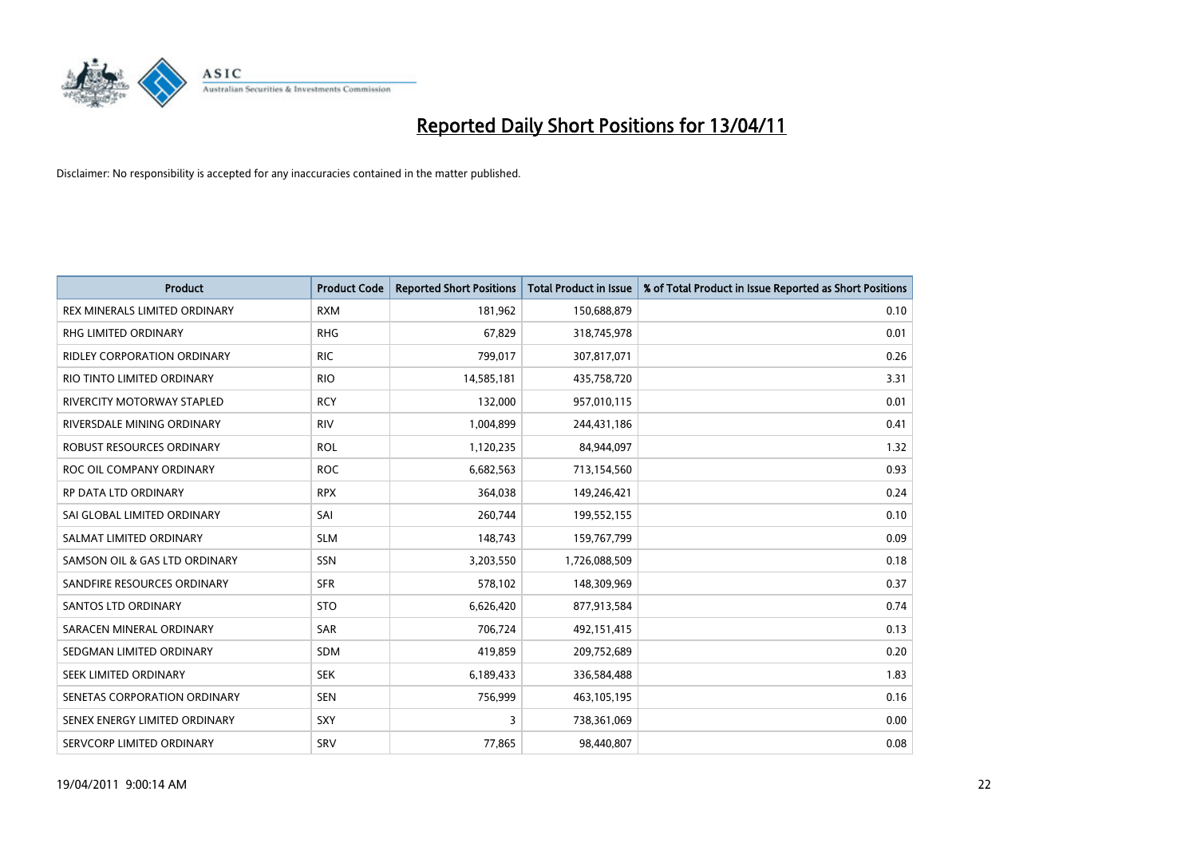

| Product                              | <b>Product Code</b> | <b>Reported Short Positions</b> | <b>Total Product in Issue</b> | % of Total Product in Issue Reported as Short Positions |
|--------------------------------------|---------------------|---------------------------------|-------------------------------|---------------------------------------------------------|
| <b>REX MINERALS LIMITED ORDINARY</b> | <b>RXM</b>          | 181,962                         | 150,688,879                   | 0.10                                                    |
| RHG LIMITED ORDINARY                 | <b>RHG</b>          | 67,829                          | 318,745,978                   | 0.01                                                    |
| <b>RIDLEY CORPORATION ORDINARY</b>   | <b>RIC</b>          | 799,017                         | 307,817,071                   | 0.26                                                    |
| RIO TINTO LIMITED ORDINARY           | <b>RIO</b>          | 14,585,181                      | 435,758,720                   | 3.31                                                    |
| <b>RIVERCITY MOTORWAY STAPLED</b>    | <b>RCY</b>          | 132,000                         | 957,010,115                   | 0.01                                                    |
| RIVERSDALE MINING ORDINARY           | <b>RIV</b>          | 1,004,899                       | 244,431,186                   | 0.41                                                    |
| <b>ROBUST RESOURCES ORDINARY</b>     | <b>ROL</b>          | 1,120,235                       | 84,944,097                    | 1.32                                                    |
| ROC OIL COMPANY ORDINARY             | <b>ROC</b>          | 6,682,563                       | 713,154,560                   | 0.93                                                    |
| RP DATA LTD ORDINARY                 | <b>RPX</b>          | 364,038                         | 149,246,421                   | 0.24                                                    |
| SAI GLOBAL LIMITED ORDINARY          | SAI                 | 260,744                         | 199,552,155                   | 0.10                                                    |
| SALMAT LIMITED ORDINARY              | <b>SLM</b>          | 148,743                         | 159,767,799                   | 0.09                                                    |
| SAMSON OIL & GAS LTD ORDINARY        | <b>SSN</b>          | 3,203,550                       | 1,726,088,509                 | 0.18                                                    |
| SANDFIRE RESOURCES ORDINARY          | <b>SFR</b>          | 578,102                         | 148,309,969                   | 0.37                                                    |
| <b>SANTOS LTD ORDINARY</b>           | <b>STO</b>          | 6,626,420                       | 877,913,584                   | 0.74                                                    |
| SARACEN MINERAL ORDINARY             | <b>SAR</b>          | 706,724                         | 492,151,415                   | 0.13                                                    |
| SEDGMAN LIMITED ORDINARY             | <b>SDM</b>          | 419,859                         | 209,752,689                   | 0.20                                                    |
| SEEK LIMITED ORDINARY                | <b>SEK</b>          | 6,189,433                       | 336,584,488                   | 1.83                                                    |
| SENETAS CORPORATION ORDINARY         | <b>SEN</b>          | 756,999                         | 463,105,195                   | 0.16                                                    |
| SENEX ENERGY LIMITED ORDINARY        | SXY                 | 3                               | 738,361,069                   | 0.00                                                    |
| SERVCORP LIMITED ORDINARY            | SRV                 | 77,865                          | 98,440,807                    | 0.08                                                    |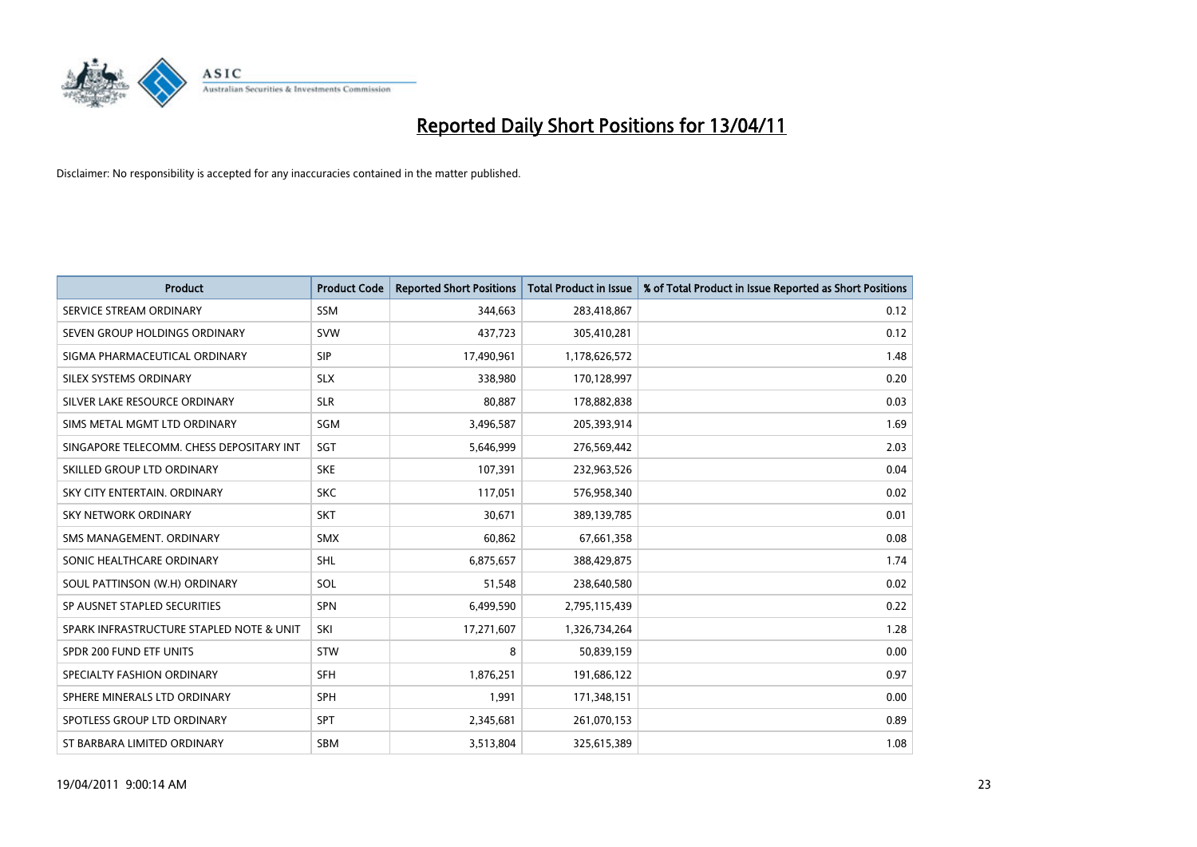

| <b>Product</b>                           | <b>Product Code</b> | <b>Reported Short Positions</b> | <b>Total Product in Issue</b> | % of Total Product in Issue Reported as Short Positions |
|------------------------------------------|---------------------|---------------------------------|-------------------------------|---------------------------------------------------------|
| SERVICE STREAM ORDINARY                  | <b>SSM</b>          | 344,663                         | 283,418,867                   | 0.12                                                    |
| SEVEN GROUP HOLDINGS ORDINARY            | <b>SVW</b>          | 437,723                         | 305,410,281                   | 0.12                                                    |
| SIGMA PHARMACEUTICAL ORDINARY            | <b>SIP</b>          | 17,490,961                      | 1,178,626,572                 | 1.48                                                    |
| SILEX SYSTEMS ORDINARY                   | <b>SLX</b>          | 338,980                         | 170,128,997                   | 0.20                                                    |
| SILVER LAKE RESOURCE ORDINARY            | <b>SLR</b>          | 80,887                          | 178,882,838                   | 0.03                                                    |
| SIMS METAL MGMT LTD ORDINARY             | SGM                 | 3,496,587                       | 205,393,914                   | 1.69                                                    |
| SINGAPORE TELECOMM. CHESS DEPOSITARY INT | SGT                 | 5,646,999                       | 276,569,442                   | 2.03                                                    |
| SKILLED GROUP LTD ORDINARY               | <b>SKE</b>          | 107,391                         | 232,963,526                   | 0.04                                                    |
| SKY CITY ENTERTAIN, ORDINARY             | <b>SKC</b>          | 117,051                         | 576,958,340                   | 0.02                                                    |
| <b>SKY NETWORK ORDINARY</b>              | <b>SKT</b>          | 30,671                          | 389,139,785                   | 0.01                                                    |
| SMS MANAGEMENT, ORDINARY                 | <b>SMX</b>          | 60,862                          | 67,661,358                    | 0.08                                                    |
| SONIC HEALTHCARE ORDINARY                | <b>SHL</b>          | 6,875,657                       | 388,429,875                   | 1.74                                                    |
| SOUL PATTINSON (W.H) ORDINARY            | SOL                 | 51,548                          | 238,640,580                   | 0.02                                                    |
| SP AUSNET STAPLED SECURITIES             | <b>SPN</b>          | 6,499,590                       | 2,795,115,439                 | 0.22                                                    |
| SPARK INFRASTRUCTURE STAPLED NOTE & UNIT | SKI                 | 17,271,607                      | 1,326,734,264                 | 1.28                                                    |
| SPDR 200 FUND ETF UNITS                  | <b>STW</b>          | 8                               | 50,839,159                    | 0.00                                                    |
| SPECIALTY FASHION ORDINARY               | <b>SFH</b>          | 1,876,251                       | 191,686,122                   | 0.97                                                    |
| SPHERE MINERALS LTD ORDINARY             | <b>SPH</b>          | 1,991                           | 171,348,151                   | 0.00                                                    |
| SPOTLESS GROUP LTD ORDINARY              | <b>SPT</b>          | 2,345,681                       | 261,070,153                   | 0.89                                                    |
| ST BARBARA LIMITED ORDINARY              | <b>SBM</b>          | 3,513,804                       | 325,615,389                   | 1.08                                                    |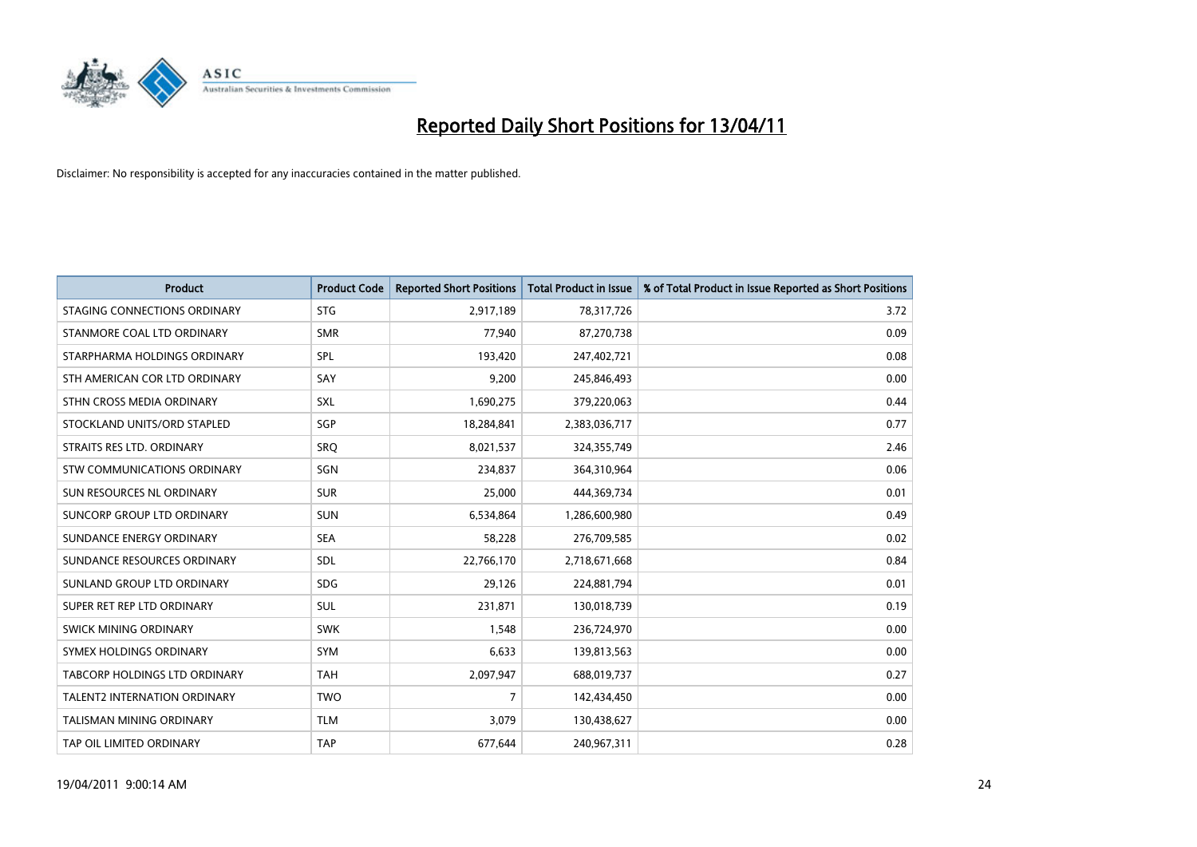

| <b>Product</b>                  | <b>Product Code</b> | <b>Reported Short Positions</b> | Total Product in Issue | % of Total Product in Issue Reported as Short Positions |
|---------------------------------|---------------------|---------------------------------|------------------------|---------------------------------------------------------|
| STAGING CONNECTIONS ORDINARY    | <b>STG</b>          | 2,917,189                       | 78,317,726             | 3.72                                                    |
| STANMORE COAL LTD ORDINARY      | <b>SMR</b>          | 77,940                          | 87,270,738             | 0.09                                                    |
| STARPHARMA HOLDINGS ORDINARY    | SPL                 | 193,420                         | 247,402,721            | 0.08                                                    |
| STH AMERICAN COR LTD ORDINARY   | SAY                 | 9,200                           | 245,846,493            | 0.00                                                    |
| STHN CROSS MEDIA ORDINARY       | SXL                 | 1,690,275                       | 379,220,063            | 0.44                                                    |
| STOCKLAND UNITS/ORD STAPLED     | SGP                 | 18,284,841                      | 2,383,036,717          | 0.77                                                    |
| STRAITS RES LTD. ORDINARY       | SRQ                 | 8,021,537                       | 324,355,749            | 2.46                                                    |
| STW COMMUNICATIONS ORDINARY     | SGN                 | 234,837                         | 364,310,964            | 0.06                                                    |
| SUN RESOURCES NL ORDINARY       | <b>SUR</b>          | 25,000                          | 444,369,734            | 0.01                                                    |
| SUNCORP GROUP LTD ORDINARY      | <b>SUN</b>          | 6,534,864                       | 1,286,600,980          | 0.49                                                    |
| SUNDANCE ENERGY ORDINARY        | <b>SEA</b>          | 58,228                          | 276,709,585            | 0.02                                                    |
| SUNDANCE RESOURCES ORDINARY     | SDL                 | 22,766,170                      | 2,718,671,668          | 0.84                                                    |
| SUNLAND GROUP LTD ORDINARY      | <b>SDG</b>          | 29,126                          | 224,881,794            | 0.01                                                    |
| SUPER RET REP LTD ORDINARY      | <b>SUL</b>          | 231,871                         | 130,018,739            | 0.19                                                    |
| SWICK MINING ORDINARY           | <b>SWK</b>          | 1,548                           | 236,724,970            | 0.00                                                    |
| SYMEX HOLDINGS ORDINARY         | <b>SYM</b>          | 6,633                           | 139,813,563            | 0.00                                                    |
| TABCORP HOLDINGS LTD ORDINARY   | <b>TAH</b>          | 2,097,947                       | 688,019,737            | 0.27                                                    |
| TALENT2 INTERNATION ORDINARY    | <b>TWO</b>          | 7                               | 142,434,450            | 0.00                                                    |
| <b>TALISMAN MINING ORDINARY</b> | <b>TLM</b>          | 3,079                           | 130,438,627            | 0.00                                                    |
| TAP OIL LIMITED ORDINARY        | <b>TAP</b>          | 677,644                         | 240,967,311            | 0.28                                                    |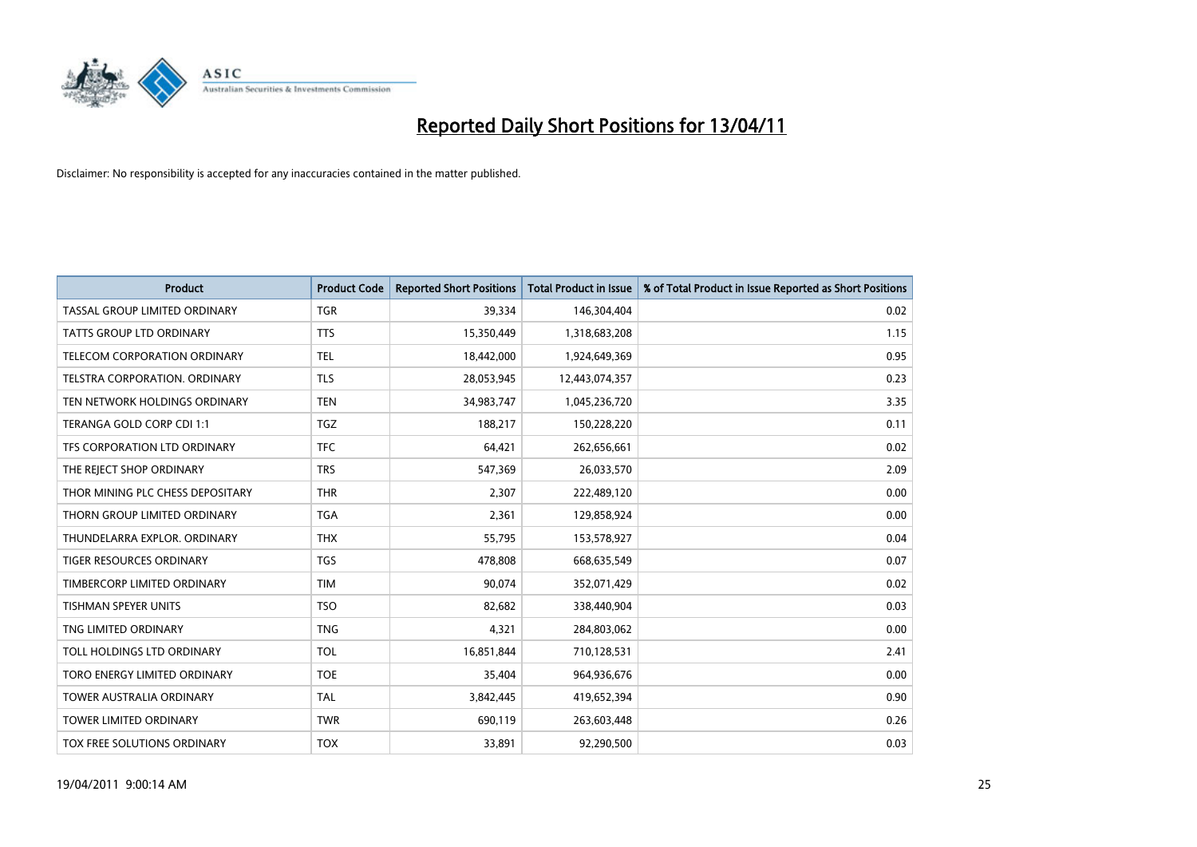

| <b>Product</b>                      | <b>Product Code</b> | <b>Reported Short Positions</b> | Total Product in Issue | % of Total Product in Issue Reported as Short Positions |
|-------------------------------------|---------------------|---------------------------------|------------------------|---------------------------------------------------------|
| TASSAL GROUP LIMITED ORDINARY       | <b>TGR</b>          | 39,334                          | 146,304,404            | 0.02                                                    |
| <b>TATTS GROUP LTD ORDINARY</b>     | <b>TTS</b>          | 15,350,449                      | 1,318,683,208          | 1.15                                                    |
| <b>TELECOM CORPORATION ORDINARY</b> | <b>TEL</b>          | 18,442,000                      | 1,924,649,369          | 0.95                                                    |
| TELSTRA CORPORATION. ORDINARY       | <b>TLS</b>          | 28,053,945                      | 12,443,074,357         | 0.23                                                    |
| TEN NETWORK HOLDINGS ORDINARY       | <b>TEN</b>          | 34,983,747                      | 1,045,236,720          | 3.35                                                    |
| TERANGA GOLD CORP CDI 1:1           | <b>TGZ</b>          | 188,217                         | 150,228,220            | 0.11                                                    |
| TFS CORPORATION LTD ORDINARY        | <b>TFC</b>          | 64,421                          | 262,656,661            | 0.02                                                    |
| THE REJECT SHOP ORDINARY            | <b>TRS</b>          | 547,369                         | 26,033,570             | 2.09                                                    |
| THOR MINING PLC CHESS DEPOSITARY    | <b>THR</b>          | 2,307                           | 222,489,120            | 0.00                                                    |
| THORN GROUP LIMITED ORDINARY        | <b>TGA</b>          | 2,361                           | 129,858,924            | 0.00                                                    |
| THUNDELARRA EXPLOR, ORDINARY        | <b>THX</b>          | 55,795                          | 153,578,927            | 0.04                                                    |
| <b>TIGER RESOURCES ORDINARY</b>     | <b>TGS</b>          | 478,808                         | 668,635,549            | 0.07                                                    |
| TIMBERCORP LIMITED ORDINARY         | <b>TIM</b>          | 90,074                          | 352,071,429            | 0.02                                                    |
| <b>TISHMAN SPEYER UNITS</b>         | <b>TSO</b>          | 82,682                          | 338,440,904            | 0.03                                                    |
| TNG LIMITED ORDINARY                | <b>TNG</b>          | 4,321                           | 284,803,062            | 0.00                                                    |
| TOLL HOLDINGS LTD ORDINARY          | <b>TOL</b>          | 16,851,844                      | 710,128,531            | 2.41                                                    |
| TORO ENERGY LIMITED ORDINARY        | <b>TOE</b>          | 35,404                          | 964,936,676            | 0.00                                                    |
| TOWER AUSTRALIA ORDINARY            | <b>TAL</b>          | 3,842,445                       | 419,652,394            | 0.90                                                    |
| <b>TOWER LIMITED ORDINARY</b>       | <b>TWR</b>          | 690,119                         | 263,603,448            | 0.26                                                    |
| TOX FREE SOLUTIONS ORDINARY         | <b>TOX</b>          | 33,891                          | 92,290,500             | 0.03                                                    |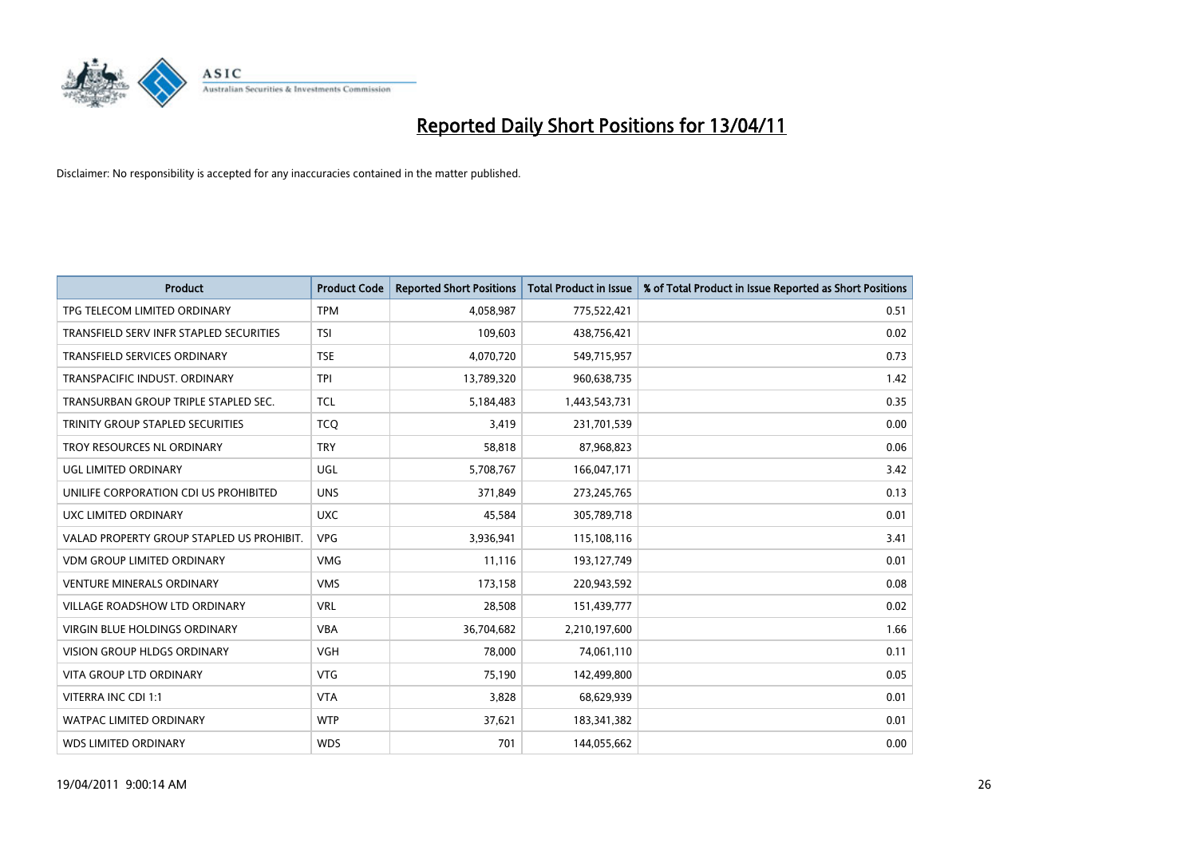

| Product                                   | <b>Product Code</b> | <b>Reported Short Positions</b> | <b>Total Product in Issue</b> | % of Total Product in Issue Reported as Short Positions |
|-------------------------------------------|---------------------|---------------------------------|-------------------------------|---------------------------------------------------------|
| TPG TELECOM LIMITED ORDINARY              | <b>TPM</b>          | 4,058,987                       | 775,522,421                   | 0.51                                                    |
| TRANSFIELD SERV INFR STAPLED SECURITIES   | <b>TSI</b>          | 109,603                         | 438,756,421                   | 0.02                                                    |
| TRANSFIELD SERVICES ORDINARY              | <b>TSE</b>          | 4,070,720                       | 549,715,957                   | 0.73                                                    |
| TRANSPACIFIC INDUST. ORDINARY             | <b>TPI</b>          | 13,789,320                      | 960,638,735                   | 1.42                                                    |
| TRANSURBAN GROUP TRIPLE STAPLED SEC.      | <b>TCL</b>          | 5,184,483                       | 1,443,543,731                 | 0.35                                                    |
| TRINITY GROUP STAPLED SECURITIES          | <b>TCO</b>          | 3,419                           | 231,701,539                   | 0.00                                                    |
| TROY RESOURCES NL ORDINARY                | <b>TRY</b>          | 58,818                          | 87,968,823                    | 0.06                                                    |
| UGL LIMITED ORDINARY                      | <b>UGL</b>          | 5,708,767                       | 166,047,171                   | 3.42                                                    |
| UNILIFE CORPORATION CDI US PROHIBITED     | <b>UNS</b>          | 371,849                         | 273,245,765                   | 0.13                                                    |
| UXC LIMITED ORDINARY                      | <b>UXC</b>          | 45,584                          | 305,789,718                   | 0.01                                                    |
| VALAD PROPERTY GROUP STAPLED US PROHIBIT. | <b>VPG</b>          | 3,936,941                       | 115,108,116                   | 3.41                                                    |
| <b>VDM GROUP LIMITED ORDINARY</b>         | <b>VMG</b>          | 11,116                          | 193,127,749                   | 0.01                                                    |
| <b>VENTURE MINERALS ORDINARY</b>          | <b>VMS</b>          | 173,158                         | 220,943,592                   | 0.08                                                    |
| <b>VILLAGE ROADSHOW LTD ORDINARY</b>      | <b>VRL</b>          | 28,508                          | 151,439,777                   | 0.02                                                    |
| <b>VIRGIN BLUE HOLDINGS ORDINARY</b>      | <b>VBA</b>          | 36,704,682                      | 2,210,197,600                 | 1.66                                                    |
| <b>VISION GROUP HLDGS ORDINARY</b>        | <b>VGH</b>          | 78,000                          | 74,061,110                    | 0.11                                                    |
| <b>VITA GROUP LTD ORDINARY</b>            | <b>VTG</b>          | 75,190                          | 142,499,800                   | 0.05                                                    |
| VITERRA INC CDI 1:1                       | <b>VTA</b>          | 3,828                           | 68,629,939                    | 0.01                                                    |
| <b>WATPAC LIMITED ORDINARY</b>            | <b>WTP</b>          | 37,621                          | 183,341,382                   | 0.01                                                    |
| <b>WDS LIMITED ORDINARY</b>               | <b>WDS</b>          | 701                             | 144,055,662                   | 0.00                                                    |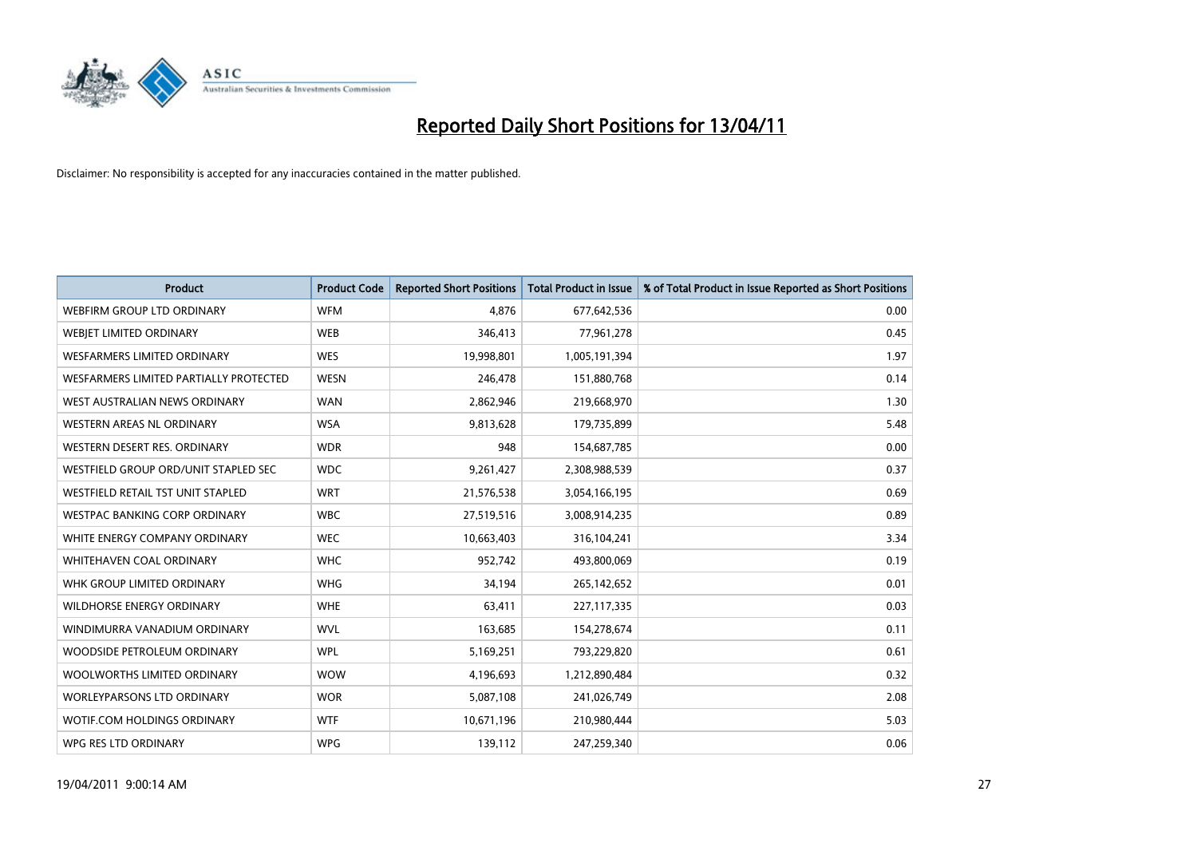

| <b>Product</b>                         | <b>Product Code</b> | <b>Reported Short Positions</b> | <b>Total Product in Issue</b> | % of Total Product in Issue Reported as Short Positions |
|----------------------------------------|---------------------|---------------------------------|-------------------------------|---------------------------------------------------------|
| <b>WEBFIRM GROUP LTD ORDINARY</b>      | <b>WFM</b>          | 4,876                           | 677,642,536                   | 0.00                                                    |
| WEBJET LIMITED ORDINARY                | <b>WEB</b>          | 346,413                         | 77,961,278                    | 0.45                                                    |
| WESFARMERS LIMITED ORDINARY            | <b>WES</b>          | 19,998,801                      | 1,005,191,394                 | 1.97                                                    |
| WESFARMERS LIMITED PARTIALLY PROTECTED | <b>WESN</b>         | 246,478                         | 151,880,768                   | 0.14                                                    |
| WEST AUSTRALIAN NEWS ORDINARY          | <b>WAN</b>          | 2,862,946                       | 219,668,970                   | 1.30                                                    |
| WESTERN AREAS NL ORDINARY              | <b>WSA</b>          | 9,813,628                       | 179,735,899                   | 5.48                                                    |
| WESTERN DESERT RES. ORDINARY           | <b>WDR</b>          | 948                             | 154,687,785                   | 0.00                                                    |
| WESTFIELD GROUP ORD/UNIT STAPLED SEC   | <b>WDC</b>          | 9,261,427                       | 2,308,988,539                 | 0.37                                                    |
| WESTFIELD RETAIL TST UNIT STAPLED      | <b>WRT</b>          | 21,576,538                      | 3,054,166,195                 | 0.69                                                    |
| WESTPAC BANKING CORP ORDINARY          | <b>WBC</b>          | 27,519,516                      | 3,008,914,235                 | 0.89                                                    |
| WHITE ENERGY COMPANY ORDINARY          | <b>WEC</b>          | 10,663,403                      | 316,104,241                   | 3.34                                                    |
| <b>WHITEHAVEN COAL ORDINARY</b>        | <b>WHC</b>          | 952,742                         | 493,800,069                   | 0.19                                                    |
| WHK GROUP LIMITED ORDINARY             | <b>WHG</b>          | 34,194                          | 265,142,652                   | 0.01                                                    |
| <b>WILDHORSE ENERGY ORDINARY</b>       | <b>WHE</b>          | 63,411                          | 227,117,335                   | 0.03                                                    |
| WINDIMURRA VANADIUM ORDINARY           | <b>WVL</b>          | 163,685                         | 154,278,674                   | 0.11                                                    |
| WOODSIDE PETROLEUM ORDINARY            | <b>WPL</b>          | 5,169,251                       | 793,229,820                   | 0.61                                                    |
| WOOLWORTHS LIMITED ORDINARY            | <b>WOW</b>          | 4,196,693                       | 1,212,890,484                 | 0.32                                                    |
| <b>WORLEYPARSONS LTD ORDINARY</b>      | <b>WOR</b>          | 5,087,108                       | 241,026,749                   | 2.08                                                    |
| WOTIF.COM HOLDINGS ORDINARY            | <b>WTF</b>          | 10,671,196                      | 210,980,444                   | 5.03                                                    |
| WPG RES LTD ORDINARY                   | <b>WPG</b>          | 139,112                         | 247,259,340                   | 0.06                                                    |